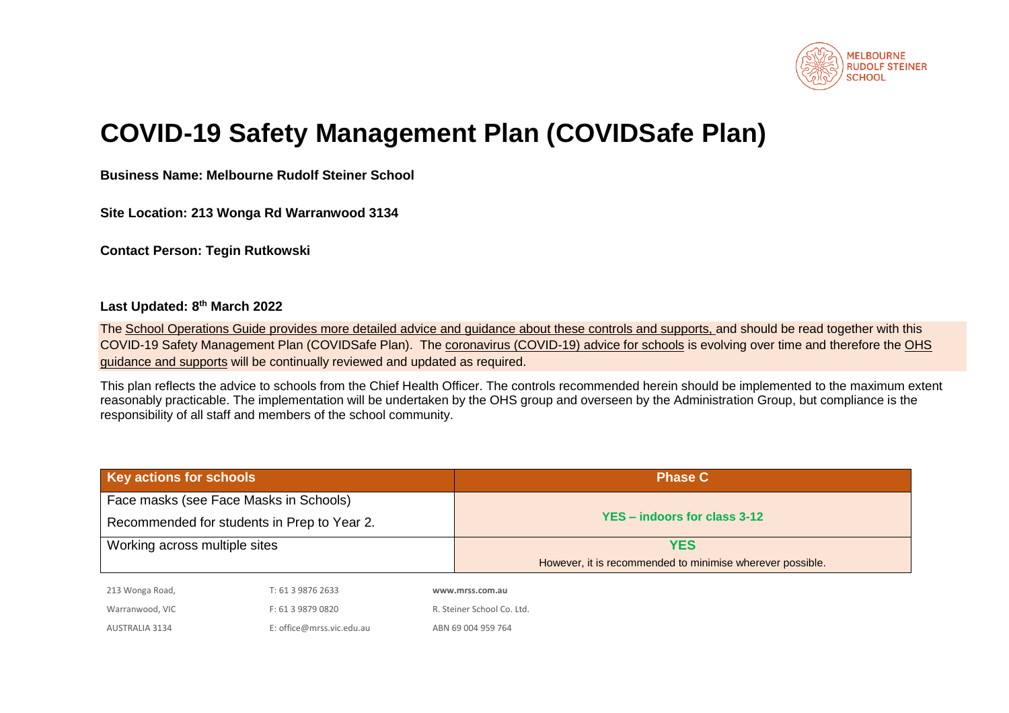

# **COVID-19 Safety Management Plan (COVIDSafe Plan)**

**Business Name: Melbourne Rudolf Steiner School**

**Site Location: 213 Wonga Rd Warranwood 3134**

**Contact Person: Tegin Rutkowski**

# **Last Updated: 8 th March 2022**

The [School Operations Guide](https://edugate.eduweb.vic.gov.au/sites/i/Pages/school.aspx#/app/content/3336/support_and_service_(schools)%252Fcoronavirus_and_learning_from_home%252Fschool_operations%252Fschool_operations_guide) provides more detailed advice and guidance about these controls and supports, and should be read together with this COVID-19 Safety Management Plan (COVIDSafe Plan). The [coronavirus \(COVID-19\) advice for schools](https://www.education.vic.gov.au/school/Pages/coronavirus-advice-schools.aspx) is evolving over time and therefore th[e OHS](https://www2.education.vic.gov.au/pal/occupational-health-and-safety-management-system-ohsms/guidance/covid-19-employee-health)  [guidance and supports](https://www2.education.vic.gov.au/pal/occupational-health-and-safety-management-system-ohsms/guidance/covid-19-employee-health) will be continually reviewed and updated as required.

This plan reflects the advice to schools from the Chief Health Officer. The controls recommended herein should be implemented to the maximum extent reasonably practicable. The implementation will be undertaken by the OHS group and overseen by the Administration Group, but compliance is the responsibility of all staff and members of the school community.

| Key actions for schools                     |                               |  | <b>Phase C</b>                                            |  |
|---------------------------------------------|-------------------------------|--|-----------------------------------------------------------|--|
| Face masks (see Face Masks in Schools)      |                               |  | YES - indoors for class 3-12                              |  |
| Recommended for students in Prep to Year 2. |                               |  |                                                           |  |
|                                             | Working across multiple sites |  | <b>YES</b>                                                |  |
|                                             |                               |  | However, it is recommended to minimise wherever possible. |  |
| 213 Wonga Road,                             | T: 61 3 9876 2633             |  | www.mrss.com.au                                           |  |
| Warranwood, VIC                             | F: 61 3 9879 0820             |  | R. Steiner School Co. Ltd.                                |  |
| <b>AUSTRALIA 3134</b>                       | E: office@mrss.vic.edu.au     |  | ABN 69 004 959 764                                        |  |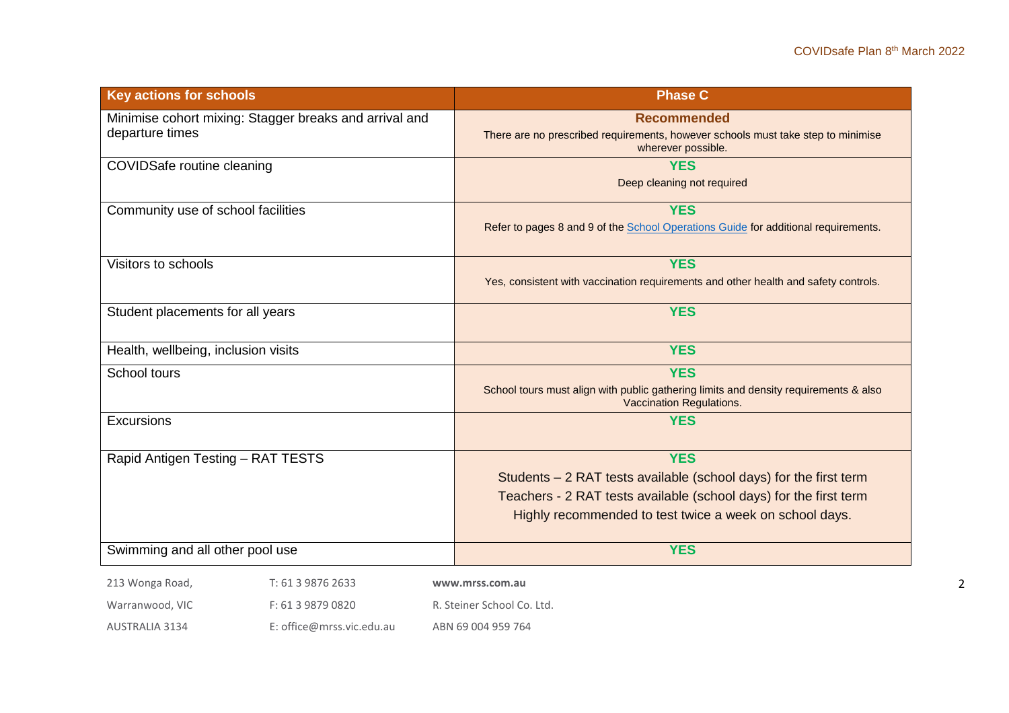| <b>Key actions for schools</b>                                               | <b>Phase C</b>                                                                                                                                                                                                  |
|------------------------------------------------------------------------------|-----------------------------------------------------------------------------------------------------------------------------------------------------------------------------------------------------------------|
| Minimise cohort mixing: Stagger breaks and arrival and<br>departure times    | <b>Recommended</b><br>There are no prescribed requirements, however schools must take step to minimise<br>wherever possible.                                                                                    |
| <b>COVIDSafe routine cleaning</b>                                            | <b>YES</b><br>Deep cleaning not required                                                                                                                                                                        |
| Community use of school facilities                                           | <b>YES</b><br>Refer to pages 8 and 9 of the School Operations Guide for additional requirements.                                                                                                                |
| Visitors to schools                                                          | <b>YES</b><br>Yes, consistent with vaccination requirements and other health and safety controls.                                                                                                               |
| Student placements for all years                                             | <b>YES</b>                                                                                                                                                                                                      |
| Health, wellbeing, inclusion visits                                          | <b>YES</b>                                                                                                                                                                                                      |
| School tours                                                                 | <b>YES</b><br>School tours must align with public gathering limits and density requirements & also<br>Vaccination Regulations.                                                                                  |
| Excursions                                                                   | <b>YES</b>                                                                                                                                                                                                      |
| Rapid Antigen Testing - RAT TESTS                                            | <b>YES</b><br>Students - 2 RAT tests available (school days) for the first term<br>Teachers - 2 RAT tests available (school days) for the first term<br>Highly recommended to test twice a week on school days. |
| Swimming and all other pool use                                              | <b>YES</b>                                                                                                                                                                                                      |
| 213 Wonga Road,<br>T: 61 3 9876 2633<br>Warranwood, VIC<br>F: 61 3 9879 0820 | www.mrss.com.au<br>R. Steiner School Co. Ltd.                                                                                                                                                                   |
|                                                                              |                                                                                                                                                                                                                 |

AUSTRALIA 3134 E: office@mrss.vic.edu.au ABN 69 004 959 764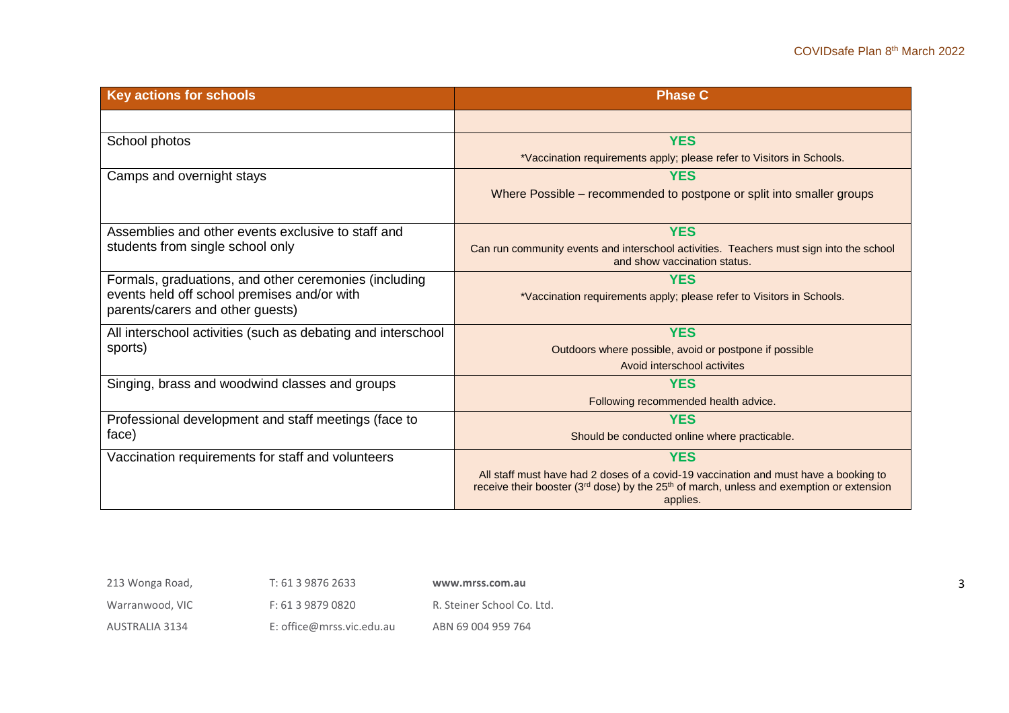| <b>Key actions for schools</b>                                                  | <b>Phase C</b>                                                                                                                                                                                                       |
|---------------------------------------------------------------------------------|----------------------------------------------------------------------------------------------------------------------------------------------------------------------------------------------------------------------|
|                                                                                 |                                                                                                                                                                                                                      |
| School photos                                                                   | <b>YES</b>                                                                                                                                                                                                           |
|                                                                                 | *Vaccination requirements apply; please refer to Visitors in Schools.                                                                                                                                                |
| Camps and overnight stays                                                       | <b>YES</b>                                                                                                                                                                                                           |
|                                                                                 | Where Possible – recommended to postpone or split into smaller groups                                                                                                                                                |
| Assemblies and other events exclusive to staff and                              | <b>YES</b>                                                                                                                                                                                                           |
| students from single school only                                                | Can run community events and interschool activities. Teachers must sign into the school<br>and show vaccination status.                                                                                              |
| Formals, graduations, and other ceremonies (including                           | <b>YES</b>                                                                                                                                                                                                           |
| events held off school premises and/or with<br>parents/carers and other guests) | *Vaccination requirements apply; please refer to Visitors in Schools.                                                                                                                                                |
| All interschool activities (such as debating and interschool                    | <b>YES</b>                                                                                                                                                                                                           |
| sports)                                                                         | Outdoors where possible, avoid or postpone if possible                                                                                                                                                               |
|                                                                                 | Avoid interschool activites                                                                                                                                                                                          |
| Singing, brass and woodwind classes and groups                                  | <b>YES</b>                                                                                                                                                                                                           |
|                                                                                 | Following recommended health advice.                                                                                                                                                                                 |
| Professional development and staff meetings (face to                            | <b>YES</b>                                                                                                                                                                                                           |
| face)                                                                           | Should be conducted online where practicable.                                                                                                                                                                        |
| Vaccination requirements for staff and volunteers                               | <b>YES</b>                                                                                                                                                                                                           |
|                                                                                 | All staff must have had 2 doses of a covid-19 vaccination and must have a booking to<br>receive their booster (3 <sup>rd</sup> dose) by the 25 <sup>th</sup> of march, unless and exemption or extension<br>applies. |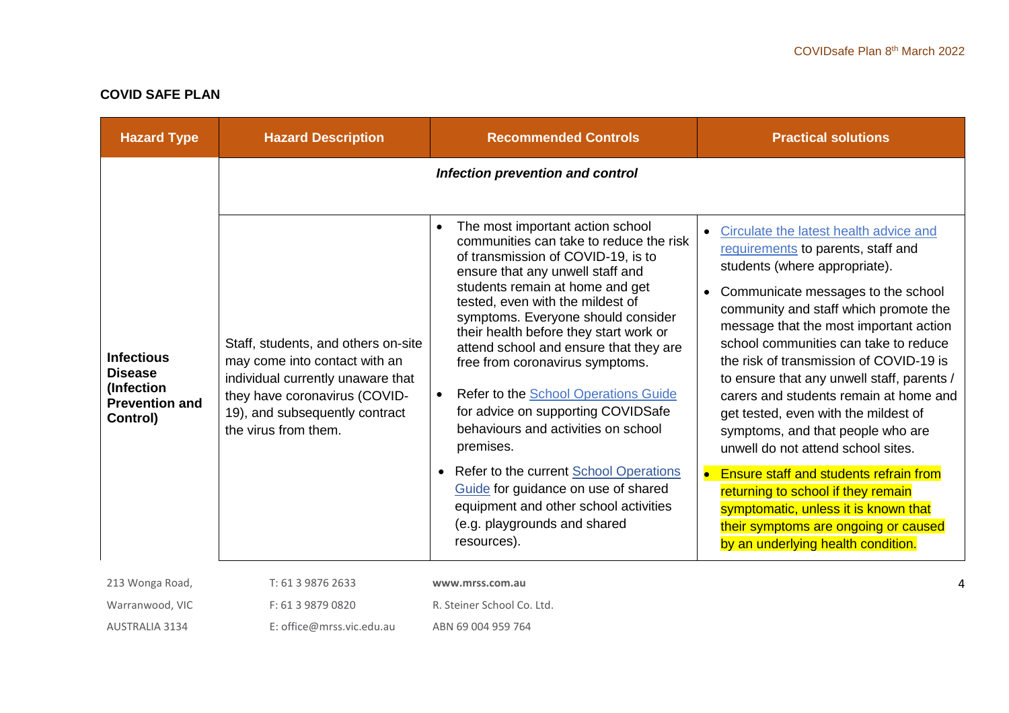# **COVID SAFE PLAN**

| <b>Hazard Type</b>                                                                     | <b>Hazard Description</b>                                                                                                                                                                            | <b>Recommended Controls</b>                                                                                                                                                                                                                                                                                                                                                                                                                                                                                                                                                                                                                                                                                                    | <b>Practical solutions</b>                                                                                                                                                                                                                                                                                                                                                                                                                                                                                                                                                                                                                                                                                                                                                   |
|----------------------------------------------------------------------------------------|------------------------------------------------------------------------------------------------------------------------------------------------------------------------------------------------------|--------------------------------------------------------------------------------------------------------------------------------------------------------------------------------------------------------------------------------------------------------------------------------------------------------------------------------------------------------------------------------------------------------------------------------------------------------------------------------------------------------------------------------------------------------------------------------------------------------------------------------------------------------------------------------------------------------------------------------|------------------------------------------------------------------------------------------------------------------------------------------------------------------------------------------------------------------------------------------------------------------------------------------------------------------------------------------------------------------------------------------------------------------------------------------------------------------------------------------------------------------------------------------------------------------------------------------------------------------------------------------------------------------------------------------------------------------------------------------------------------------------------|
|                                                                                        |                                                                                                                                                                                                      | Infection prevention and control                                                                                                                                                                                                                                                                                                                                                                                                                                                                                                                                                                                                                                                                                               |                                                                                                                                                                                                                                                                                                                                                                                                                                                                                                                                                                                                                                                                                                                                                                              |
| <b>Infectious</b><br><b>Disease</b><br>(Infection<br><b>Prevention and</b><br>Control) | Staff, students, and others on-site<br>may come into contact with an<br>individual currently unaware that<br>they have coronavirus (COVID-<br>19), and subsequently contract<br>the virus from them. | The most important action school<br>$\bullet$<br>communities can take to reduce the risk<br>of transmission of COVID-19, is to<br>ensure that any unwell staff and<br>students remain at home and get<br>tested, even with the mildest of<br>symptoms. Everyone should consider<br>their health before they start work or<br>attend school and ensure that they are<br>free from coronavirus symptoms.<br>Refer to the School Operations Guide<br>for advice on supporting COVIDSafe<br>behaviours and activities on school<br>premises.<br>Refer to the current School Operations<br>$\bullet$<br>Guide for guidance on use of shared<br>equipment and other school activities<br>(e.g. playgrounds and shared<br>resources). | Circulate the latest health advice and<br>requirements to parents, staff and<br>students (where appropriate).<br>Communicate messages to the school<br>$\bullet$<br>community and staff which promote the<br>message that the most important action<br>school communities can take to reduce<br>the risk of transmission of COVID-19 is<br>to ensure that any unwell staff, parents /<br>carers and students remain at home and<br>get tested, even with the mildest of<br>symptoms, and that people who are<br>unwell do not attend school sites.<br>$\bullet$<br><b>Ensure staff and students refrain from</b><br>returning to school if they remain<br>symptomatic, unless it is known that<br>their symptoms are ongoing or caused<br>by an underlying health condition. |
| 213 Wonga Road,                                                                        | T: 61 3 9876 2633                                                                                                                                                                                    | www.mrss.com.au                                                                                                                                                                                                                                                                                                                                                                                                                                                                                                                                                                                                                                                                                                                |                                                                                                                                                                                                                                                                                                                                                                                                                                                                                                                                                                                                                                                                                                                                                                              |
| Warranwood, VIC                                                                        | F: 61 3 9879 0820                                                                                                                                                                                    | R. Steiner School Co. Ltd.                                                                                                                                                                                                                                                                                                                                                                                                                                                                                                                                                                                                                                                                                                     |                                                                                                                                                                                                                                                                                                                                                                                                                                                                                                                                                                                                                                                                                                                                                                              |
| <b>AUSTRALIA 3134</b>                                                                  | E: office@mrss.vic.edu.au                                                                                                                                                                            | ABN 69 004 959 764                                                                                                                                                                                                                                                                                                                                                                                                                                                                                                                                                                                                                                                                                                             |                                                                                                                                                                                                                                                                                                                                                                                                                                                                                                                                                                                                                                                                                                                                                                              |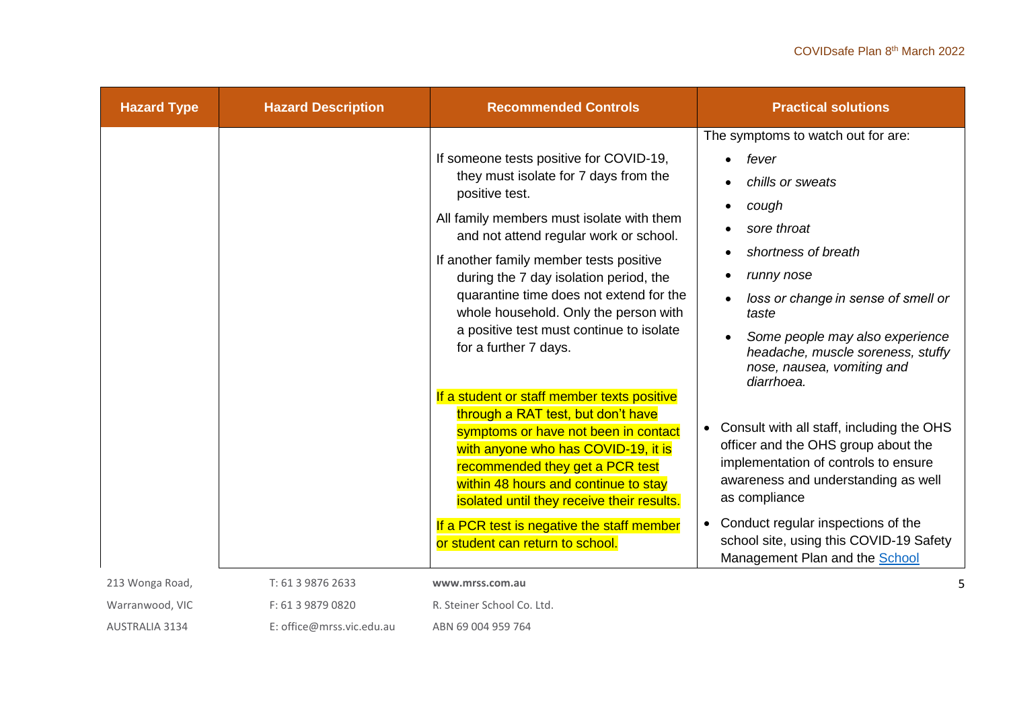| <b>Hazard Type</b> | <b>Hazard Description</b> | <b>Recommended Controls</b>                                                                                                                                                                                                                                                                                                                                                                                                             | <b>Practical solutions</b>                                                                                                                                                                                                                                                                                         |
|--------------------|---------------------------|-----------------------------------------------------------------------------------------------------------------------------------------------------------------------------------------------------------------------------------------------------------------------------------------------------------------------------------------------------------------------------------------------------------------------------------------|--------------------------------------------------------------------------------------------------------------------------------------------------------------------------------------------------------------------------------------------------------------------------------------------------------------------|
|                    |                           | If someone tests positive for COVID-19,<br>they must isolate for 7 days from the<br>positive test.<br>All family members must isolate with them<br>and not attend regular work or school.<br>If another family member tests positive<br>during the 7 day isolation period, the<br>quarantine time does not extend for the<br>whole household. Only the person with<br>a positive test must continue to isolate<br>for a further 7 days. | The symptoms to watch out for are:<br>fever<br>chills or sweats<br>cough<br>sore throat<br>shortness of breath<br>runny nose<br>loss or change in sense of smell or<br>taste<br>Some people may also experience<br>headache, muscle soreness, stuffy<br>nose, nausea, vomiting and<br>diarrhoea.                   |
|                    |                           | If a student or staff member texts positive<br>through a RAT test, but don't have<br>symptoms or have not been in contact<br>with anyone who has COVID-19, it is<br>recommended they get a PCR test<br>within 48 hours and continue to stay<br>isolated until they receive their results.<br>If a PCR test is negative the staff member<br>or student can return to school.                                                             | • Consult with all staff, including the OHS<br>officer and the OHS group about the<br>implementation of controls to ensure<br>awareness and understanding as well<br>as compliance<br>Conduct regular inspections of the<br>$\bullet$<br>school site, using this COVID-19 Safety<br>Management Plan and the School |
| 213 Wonga Road,    | T: 61 3 9876 2633         | www.mrss.com.au                                                                                                                                                                                                                                                                                                                                                                                                                         |                                                                                                                                                                                                                                                                                                                    |
| Warranwood, VIC    | F: 61 3 9879 0820         | R. Steiner School Co. Ltd.                                                                                                                                                                                                                                                                                                                                                                                                              |                                                                                                                                                                                                                                                                                                                    |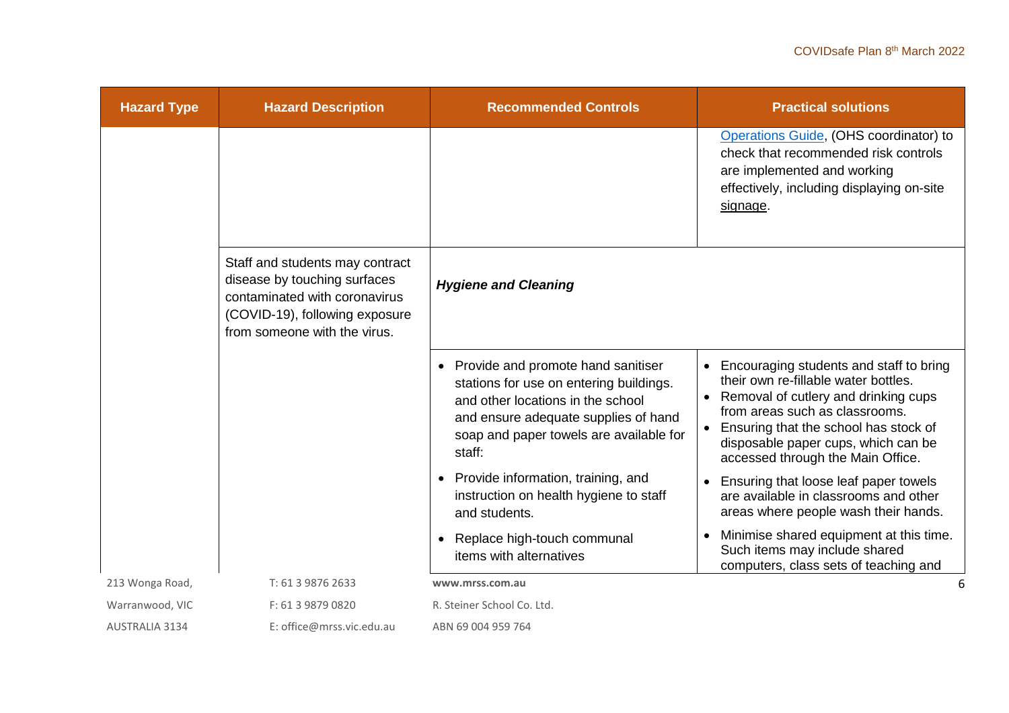| <b>Hazard Type</b>    | <b>Hazard Description</b>                                                                                                                                          | <b>Recommended Controls</b>                                                                                                                                                                                                  | <b>Practical solutions</b>                                                                                                                                                                                                                                                                               |
|-----------------------|--------------------------------------------------------------------------------------------------------------------------------------------------------------------|------------------------------------------------------------------------------------------------------------------------------------------------------------------------------------------------------------------------------|----------------------------------------------------------------------------------------------------------------------------------------------------------------------------------------------------------------------------------------------------------------------------------------------------------|
|                       |                                                                                                                                                                    |                                                                                                                                                                                                                              | Operations Guide, (OHS coordinator) to<br>check that recommended risk controls<br>are implemented and working<br>effectively, including displaying on-site<br>signage.                                                                                                                                   |
|                       | Staff and students may contract<br>disease by touching surfaces<br>contaminated with coronavirus<br>(COVID-19), following exposure<br>from someone with the virus. | <b>Hygiene and Cleaning</b>                                                                                                                                                                                                  |                                                                                                                                                                                                                                                                                                          |
|                       |                                                                                                                                                                    | Provide and promote hand sanitiser<br>$\bullet$<br>stations for use on entering buildings.<br>and other locations in the school<br>and ensure adequate supplies of hand<br>soap and paper towels are available for<br>staff: | Encouraging students and staff to bring<br>$\bullet$<br>their own re-fillable water bottles.<br>Removal of cutlery and drinking cups<br>$\bullet$<br>from areas such as classrooms.<br>Ensuring that the school has stock of<br>disposable paper cups, which can be<br>accessed through the Main Office. |
|                       |                                                                                                                                                                    | Provide information, training, and<br>$\bullet$<br>instruction on health hygiene to staff<br>and students.                                                                                                                   | Ensuring that loose leaf paper towels<br>$\bullet$<br>are available in classrooms and other<br>areas where people wash their hands.                                                                                                                                                                      |
|                       |                                                                                                                                                                    | Replace high-touch communal<br>$\bullet$<br>items with alternatives                                                                                                                                                          | Minimise shared equipment at this time.<br>$\bullet$<br>Such items may include shared<br>computers, class sets of teaching and                                                                                                                                                                           |
| 213 Wonga Road,       | T: 61 3 9876 2633                                                                                                                                                  | www.mrss.com.au                                                                                                                                                                                                              | 6                                                                                                                                                                                                                                                                                                        |
| Warranwood, VIC       | F: 61 3 9879 0820                                                                                                                                                  | R. Steiner School Co. Ltd.                                                                                                                                                                                                   |                                                                                                                                                                                                                                                                                                          |
| <b>AUSTRALIA 3134</b> | E: office@mrss.vic.edu.au                                                                                                                                          | ABN 69 004 959 764                                                                                                                                                                                                           |                                                                                                                                                                                                                                                                                                          |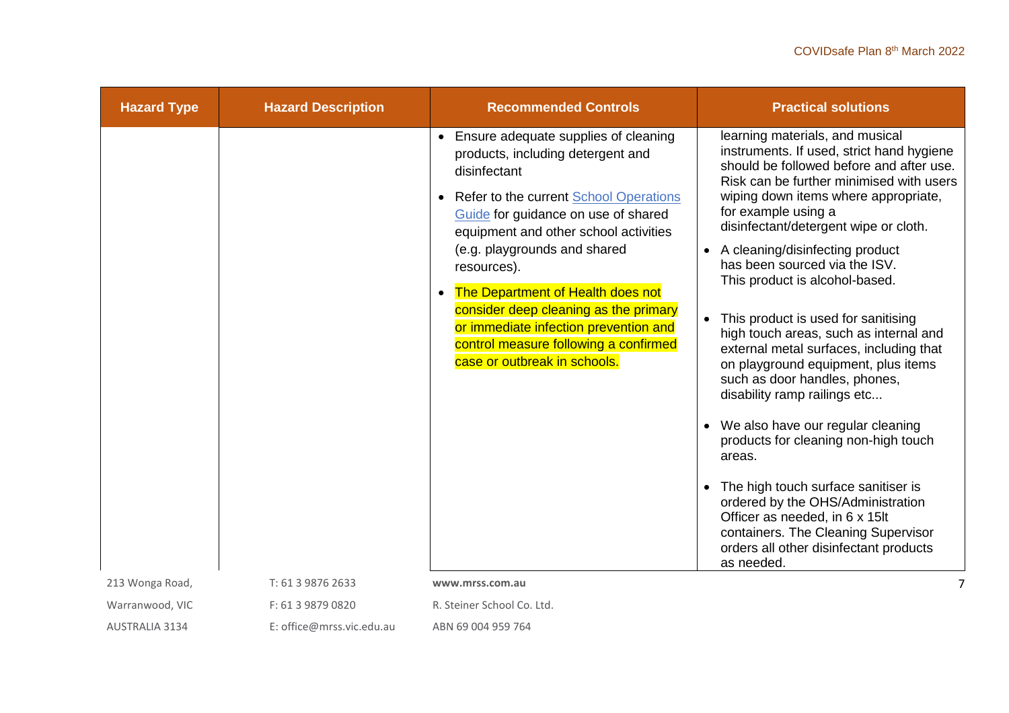| <b>Hazard Type</b> | <b>Hazard Description</b> | <b>Recommended Controls</b>                                                                                                                                                                                                                                                                                                                                                                                                                                                                               | <b>Practical solutions</b>                                                                                                                                                                                                                                                                                                                                                                                                                                                                                                                                                                                                                                                                                                                                                                                                                                                                                                 |
|--------------------|---------------------------|-----------------------------------------------------------------------------------------------------------------------------------------------------------------------------------------------------------------------------------------------------------------------------------------------------------------------------------------------------------------------------------------------------------------------------------------------------------------------------------------------------------|----------------------------------------------------------------------------------------------------------------------------------------------------------------------------------------------------------------------------------------------------------------------------------------------------------------------------------------------------------------------------------------------------------------------------------------------------------------------------------------------------------------------------------------------------------------------------------------------------------------------------------------------------------------------------------------------------------------------------------------------------------------------------------------------------------------------------------------------------------------------------------------------------------------------------|
|                    |                           | Ensure adequate supplies of cleaning<br>$\bullet$<br>products, including detergent and<br>disinfectant<br>Refer to the current School Operations<br>$\bullet$<br>Guide for guidance on use of shared<br>equipment and other school activities<br>(e.g. playgrounds and shared<br>resources).<br>The Department of Health does not<br>$\bullet$<br>consider deep cleaning as the primary<br>or immediate infection prevention and<br>control measure following a confirmed<br>case or outbreak in schools. | learning materials, and musical<br>instruments. If used, strict hand hygiene<br>should be followed before and after use.<br>Risk can be further minimised with users<br>wiping down items where appropriate,<br>for example using a<br>disinfectant/detergent wipe or cloth.<br>A cleaning/disinfecting product<br>has been sourced via the ISV.<br>This product is alcohol-based.<br>This product is used for sanitising<br>high touch areas, such as internal and<br>external metal surfaces, including that<br>on playground equipment, plus items<br>such as door handles, phones,<br>disability ramp railings etc<br>We also have our regular cleaning<br>products for cleaning non-high touch<br>areas.<br>The high touch surface sanitiser is<br>ordered by the OHS/Administration<br>Officer as needed, in 6 x 15lt<br>containers. The Cleaning Supervisor<br>orders all other disinfectant products<br>as needed. |
| 213 Wonga Road,    | T: 61 3 9876 2633         | www.mrss.com.au                                                                                                                                                                                                                                                                                                                                                                                                                                                                                           |                                                                                                                                                                                                                                                                                                                                                                                                                                                                                                                                                                                                                                                                                                                                                                                                                                                                                                                            |
| Warranwood, VIC    | F: 61 3 9879 0820         | R. Steiner School Co. Ltd.                                                                                                                                                                                                                                                                                                                                                                                                                                                                                |                                                                                                                                                                                                                                                                                                                                                                                                                                                                                                                                                                                                                                                                                                                                                                                                                                                                                                                            |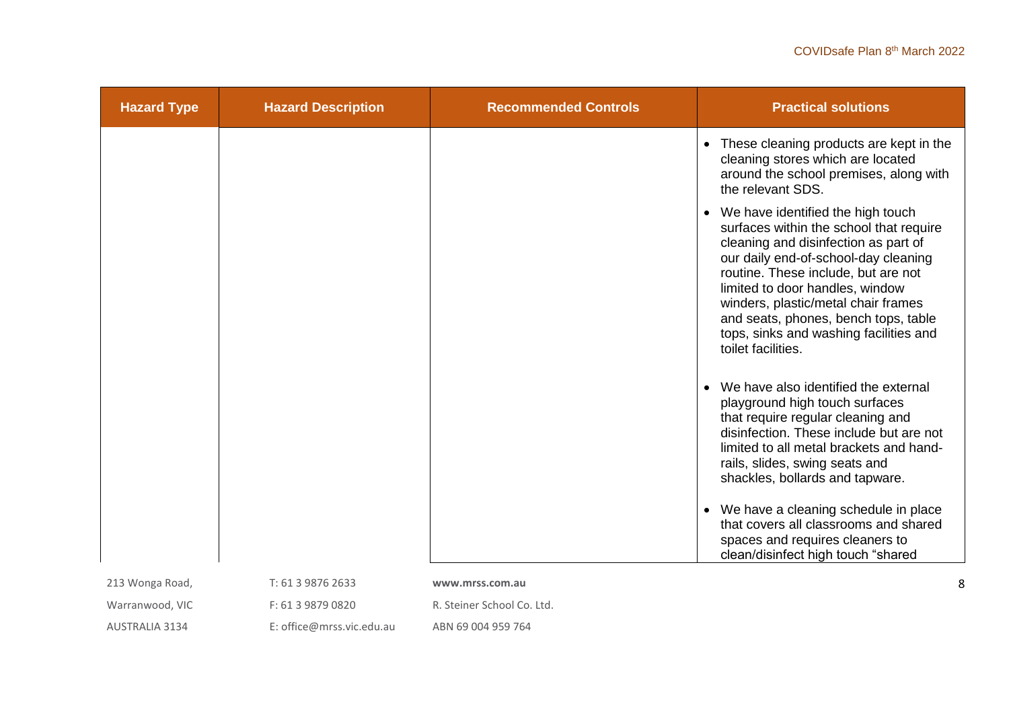| <b>Hazard Type</b> | <b>Hazard Description</b> | <b>Recommended Controls</b> | <b>Practical solutions</b>                                                                                                                                                                                                                                                                                                                                                              |
|--------------------|---------------------------|-----------------------------|-----------------------------------------------------------------------------------------------------------------------------------------------------------------------------------------------------------------------------------------------------------------------------------------------------------------------------------------------------------------------------------------|
|                    |                           |                             | • These cleaning products are kept in the<br>cleaning stores which are located<br>around the school premises, along with<br>the relevant SDS.                                                                                                                                                                                                                                           |
|                    |                           |                             | • We have identified the high touch<br>surfaces within the school that require<br>cleaning and disinfection as part of<br>our daily end-of-school-day cleaning<br>routine. These include, but are not<br>limited to door handles, window<br>winders, plastic/metal chair frames<br>and seats, phones, bench tops, table<br>tops, sinks and washing facilities and<br>toilet facilities. |
|                    |                           |                             | We have also identified the external<br>playground high touch surfaces<br>that require regular cleaning and<br>disinfection. These include but are not<br>limited to all metal brackets and hand-<br>rails, slides, swing seats and<br>shackles, bollards and tapware.                                                                                                                  |
|                    |                           |                             | • We have a cleaning schedule in place<br>that covers all classrooms and shared<br>spaces and requires cleaners to<br>clean/disinfect high touch "shared                                                                                                                                                                                                                                |
| 213 Wonga Road,    | T: 61 3 9876 2633         | www.mrss.com.au             | 8                                                                                                                                                                                                                                                                                                                                                                                       |
| Warranwood, VIC    | F: 61 3 9879 0820         | R. Steiner School Co. Ltd.  |                                                                                                                                                                                                                                                                                                                                                                                         |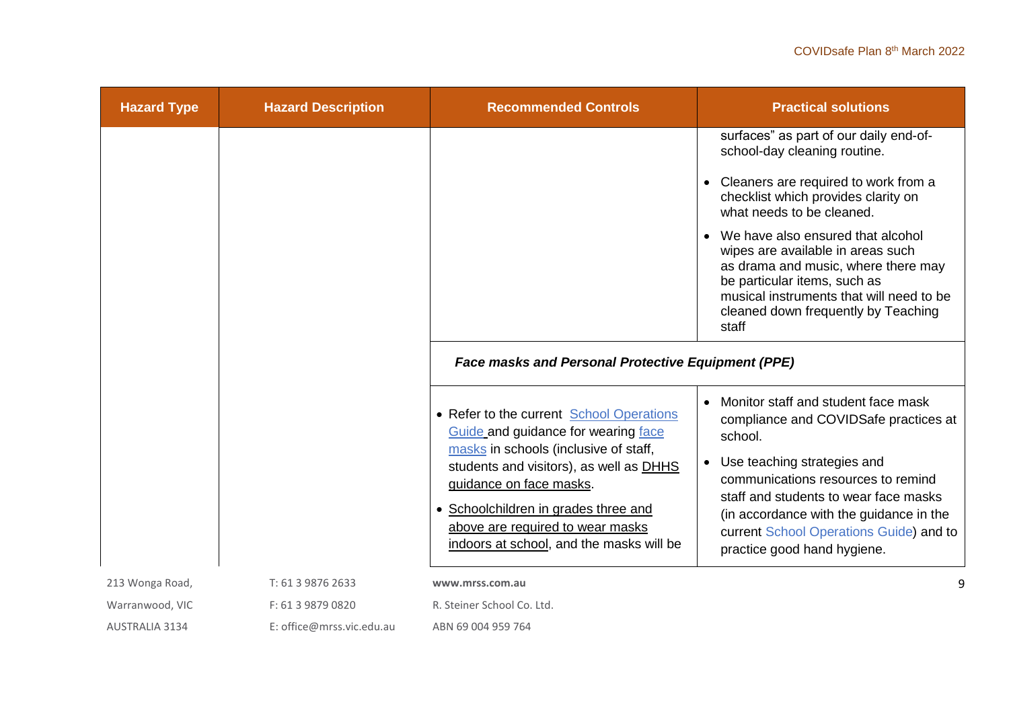| <b>Hazard Type</b> | <b>Hazard Description</b> | <b>Recommended Controls</b>                                                                                        | <b>Practical solutions</b>                                                                                                                                                                                                                |
|--------------------|---------------------------|--------------------------------------------------------------------------------------------------------------------|-------------------------------------------------------------------------------------------------------------------------------------------------------------------------------------------------------------------------------------------|
|                    |                           |                                                                                                                    | surfaces" as part of our daily end-of-<br>school-day cleaning routine.                                                                                                                                                                    |
|                    |                           |                                                                                                                    | Cleaners are required to work from a<br>checklist which provides clarity on<br>what needs to be cleaned.                                                                                                                                  |
|                    |                           |                                                                                                                    | We have also ensured that alcohol<br>wipes are available in areas such<br>as drama and music, where there may<br>be particular items, such as<br>musical instruments that will need to be<br>cleaned down frequently by Teaching<br>staff |
|                    |                           | <b>Face masks and Personal Protective Equipment (PPE)</b>                                                          |                                                                                                                                                                                                                                           |
|                    |                           | • Refer to the current School Operations<br>Guide and guidance for wearing face                                    | Monitor staff and student face mask<br>$\bullet$<br>compliance and COVIDSafe practices at<br>school.                                                                                                                                      |
|                    |                           | masks in schools (inclusive of staff,<br>students and visitors), as well as DHHS<br>guidance on face masks.        | Use teaching strategies and<br>$\bullet$<br>communications resources to remind<br>staff and students to wear face masks                                                                                                                   |
|                    |                           | Schoolchildren in grades three and<br>above are required to wear masks<br>indoors at school, and the masks will be | (in accordance with the guidance in the<br>current School Operations Guide) and to<br>practice good hand hygiene.                                                                                                                         |
| 213 Wonga Road,    | T: 61 3 9876 2633         | www.mrss.com.au                                                                                                    |                                                                                                                                                                                                                                           |
| Warranwood, VIC    | F: 61 3 9879 0820         | R. Steiner School Co. Ltd.                                                                                         |                                                                                                                                                                                                                                           |
| AUSTRALIA 3134     | E: office@mrss.vic.edu.au | ABN 69 004 959 764                                                                                                 |                                                                                                                                                                                                                                           |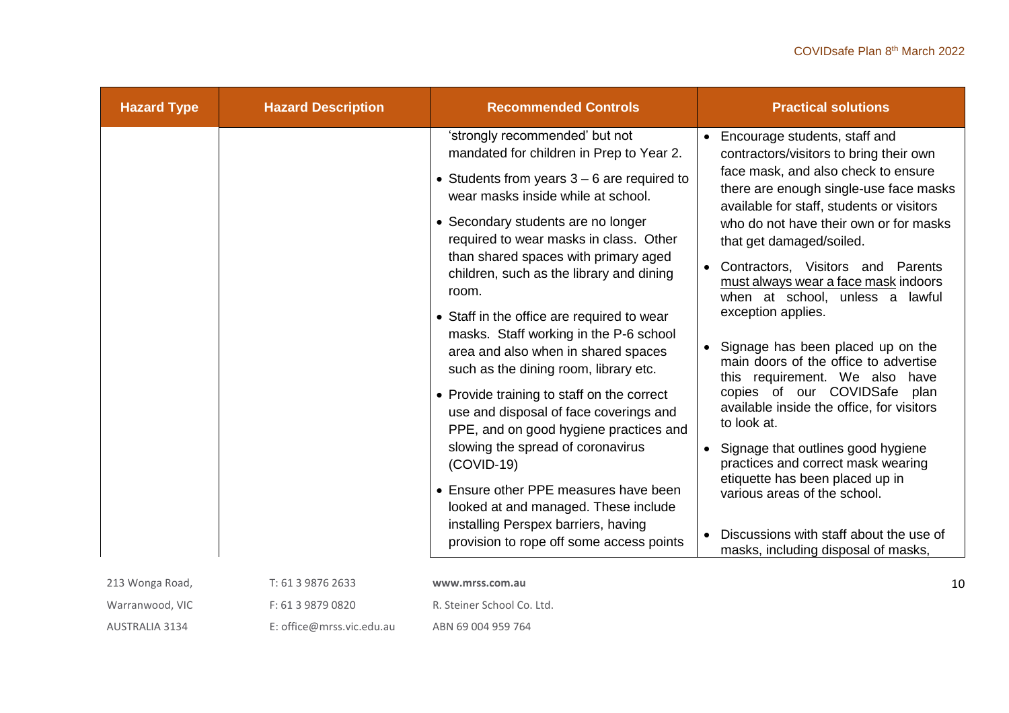| <b>Hazard Type</b> | <b>Hazard Description</b> | <b>Recommended Controls</b>                                                                                                                                                                                                                                                                         | <b>Practical solutions</b>                                                                                                                                                                                                                                                                                                 |
|--------------------|---------------------------|-----------------------------------------------------------------------------------------------------------------------------------------------------------------------------------------------------------------------------------------------------------------------------------------------------|----------------------------------------------------------------------------------------------------------------------------------------------------------------------------------------------------------------------------------------------------------------------------------------------------------------------------|
|                    |                           | 'strongly recommended' but not                                                                                                                                                                                                                                                                      | • Encourage students, staff and                                                                                                                                                                                                                                                                                            |
|                    |                           | mandated for children in Prep to Year 2.<br>• Students from years $3 - 6$ are required to<br>wear masks inside while at school.<br>• Secondary students are no longer<br>required to wear masks in class. Other<br>than shared spaces with primary aged<br>children, such as the library and dining | contractors/visitors to bring their own<br>face mask, and also check to ensure<br>there are enough single-use face masks<br>available for staff, students or visitors<br>who do not have their own or for masks<br>that get damaged/soiled.<br>• Contractors, Visitors and Parents<br>must always wear a face mask indoors |
|                    |                           | room.<br>• Staff in the office are required to wear<br>masks. Staff working in the P-6 school<br>area and also when in shared spaces<br>such as the dining room, library etc.                                                                                                                       | when at school, unless a lawful<br>exception applies.<br>• Signage has been placed up on the<br>main doors of the office to advertise<br>this requirement. We also have                                                                                                                                                    |
|                    |                           | • Provide training to staff on the correct<br>use and disposal of face coverings and<br>PPE, and on good hygiene practices and                                                                                                                                                                      | copies of our COVIDSafe plan<br>available inside the office, for visitors<br>to look at.                                                                                                                                                                                                                                   |
|                    |                           | slowing the spread of coronavirus<br>$(COVID-19)$                                                                                                                                                                                                                                                   | Signage that outlines good hygiene<br>practices and correct mask wearing<br>etiquette has been placed up in                                                                                                                                                                                                                |
|                    |                           | • Ensure other PPE measures have been<br>looked at and managed. These include<br>installing Perspex barriers, having                                                                                                                                                                                | various areas of the school.                                                                                                                                                                                                                                                                                               |
|                    |                           | provision to rope off some access points                                                                                                                                                                                                                                                            | Discussions with staff about the use of<br>masks, including disposal of masks,                                                                                                                                                                                                                                             |
| 213 Wonga Road,    | T: 61 3 9876 2633         | www.mrss.com.au                                                                                                                                                                                                                                                                                     | $\mathbf{1}$                                                                                                                                                                                                                                                                                                               |
| Warranwood, VIC    | F: 61 3 9879 0820         | R. Steiner School Co. Ltd.                                                                                                                                                                                                                                                                          |                                                                                                                                                                                                                                                                                                                            |

AUSTRALIA 3134 E: office@mrss.vic.edu.au ABN 69 004 959 764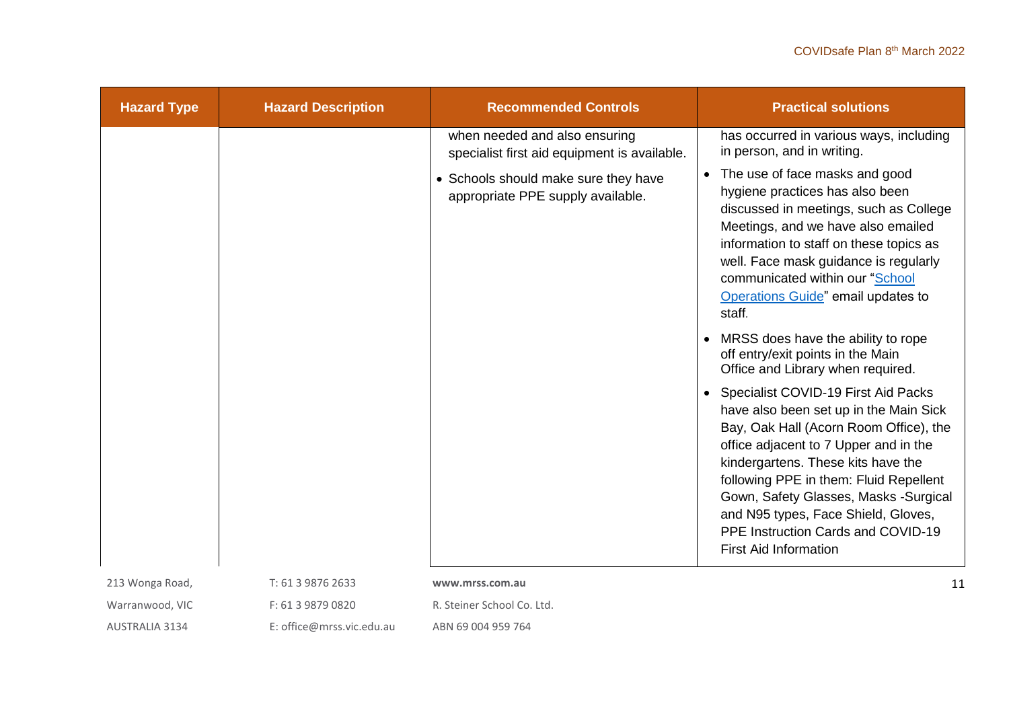| <b>Hazard Type</b> | <b>Hazard Description</b> | <b>Recommended Controls</b>                                                   | <b>Practical solutions</b>                                                                                                                                                                                                                                                                                                                                                                             |
|--------------------|---------------------------|-------------------------------------------------------------------------------|--------------------------------------------------------------------------------------------------------------------------------------------------------------------------------------------------------------------------------------------------------------------------------------------------------------------------------------------------------------------------------------------------------|
|                    |                           | when needed and also ensuring<br>specialist first aid equipment is available. | has occurred in various ways, including<br>in person, and in writing.                                                                                                                                                                                                                                                                                                                                  |
|                    |                           | • Schools should make sure they have<br>appropriate PPE supply available.     | The use of face masks and good<br>$\bullet$<br>hygiene practices has also been<br>discussed in meetings, such as College<br>Meetings, and we have also emailed<br>information to staff on these topics as<br>well. Face mask guidance is regularly<br>communicated within our "School<br>Operations Guide" email updates to<br>staff.                                                                  |
|                    |                           |                                                                               | MRSS does have the ability to rope<br>off entry/exit points in the Main<br>Office and Library when required.                                                                                                                                                                                                                                                                                           |
|                    |                           |                                                                               | Specialist COVID-19 First Aid Packs<br>have also been set up in the Main Sick<br>Bay, Oak Hall (Acorn Room Office), the<br>office adjacent to 7 Upper and in the<br>kindergartens. These kits have the<br>following PPE in them: Fluid Repellent<br>Gown, Safety Glasses, Masks -Surgical<br>and N95 types, Face Shield, Gloves,<br>PPE Instruction Cards and COVID-19<br><b>First Aid Information</b> |
| 213 Wonga Road,    | T: 61 3 9876 2633         | www.mrss.com.au                                                               | 11                                                                                                                                                                                                                                                                                                                                                                                                     |
| Warranwood, VIC    | F: 61 3 9879 0820         | R. Steiner School Co. Ltd.                                                    |                                                                                                                                                                                                                                                                                                                                                                                                        |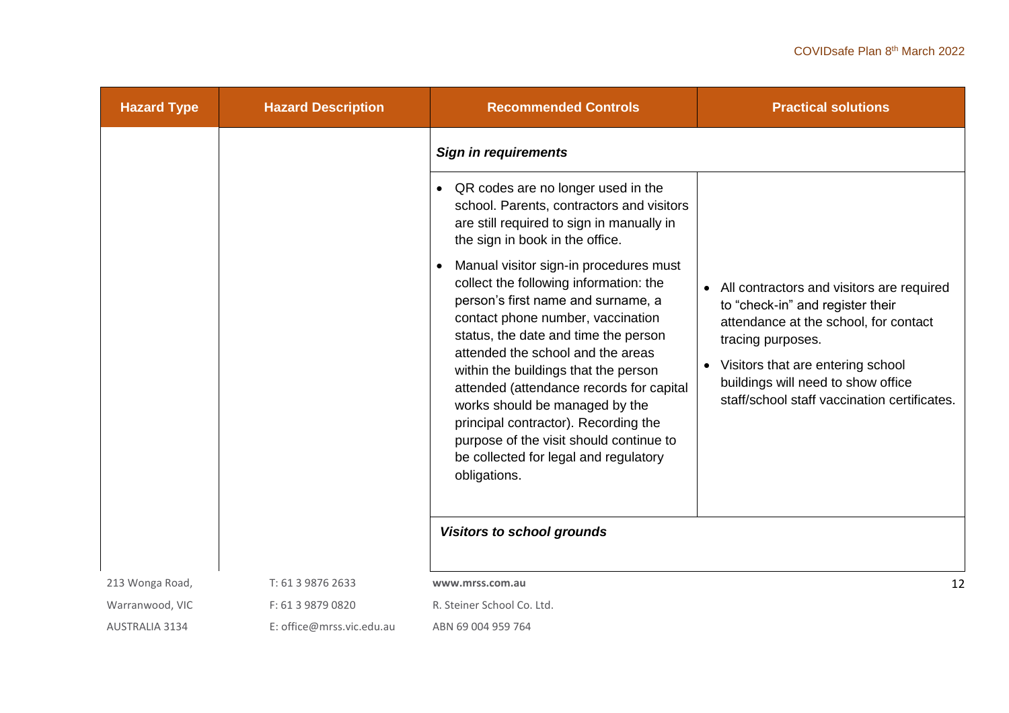| <b>Hazard Type</b>    | <b>Hazard Description</b> | <b>Recommended Controls</b>                                                                                                                                                                                                                                                                                                                                                                                                                                                                                | <b>Practical solutions</b>                                                                                                                                                                                                                                                            |
|-----------------------|---------------------------|------------------------------------------------------------------------------------------------------------------------------------------------------------------------------------------------------------------------------------------------------------------------------------------------------------------------------------------------------------------------------------------------------------------------------------------------------------------------------------------------------------|---------------------------------------------------------------------------------------------------------------------------------------------------------------------------------------------------------------------------------------------------------------------------------------|
|                       |                           | <b>Sign in requirements</b>                                                                                                                                                                                                                                                                                                                                                                                                                                                                                |                                                                                                                                                                                                                                                                                       |
|                       |                           | QR codes are no longer used in the<br>$\bullet$<br>school. Parents, contractors and visitors<br>are still required to sign in manually in<br>the sign in book in the office.                                                                                                                                                                                                                                                                                                                               |                                                                                                                                                                                                                                                                                       |
|                       |                           | Manual visitor sign-in procedures must<br>collect the following information: the<br>person's first name and surname, a<br>contact phone number, vaccination<br>status, the date and time the person<br>attended the school and the areas<br>within the buildings that the person<br>attended (attendance records for capital<br>works should be managed by the<br>principal contractor). Recording the<br>purpose of the visit should continue to<br>be collected for legal and regulatory<br>obligations. | • All contractors and visitors are required<br>to "check-in" and register their<br>attendance at the school, for contact<br>tracing purposes.<br>Visitors that are entering school<br>$\bullet$<br>buildings will need to show office<br>staff/school staff vaccination certificates. |
|                       |                           | <b>Visitors to school grounds</b>                                                                                                                                                                                                                                                                                                                                                                                                                                                                          |                                                                                                                                                                                                                                                                                       |
| 213 Wonga Road,       | T: 61 3 9876 2633         | www.mrss.com.au                                                                                                                                                                                                                                                                                                                                                                                                                                                                                            | 12                                                                                                                                                                                                                                                                                    |
| Warranwood, VIC       | F: 61 3 9879 0820         | R. Steiner School Co. Ltd.                                                                                                                                                                                                                                                                                                                                                                                                                                                                                 |                                                                                                                                                                                                                                                                                       |
| <b>AUSTRALIA 3134</b> | E: office@mrss.vic.edu.au | ABN 69 004 959 764                                                                                                                                                                                                                                                                                                                                                                                                                                                                                         |                                                                                                                                                                                                                                                                                       |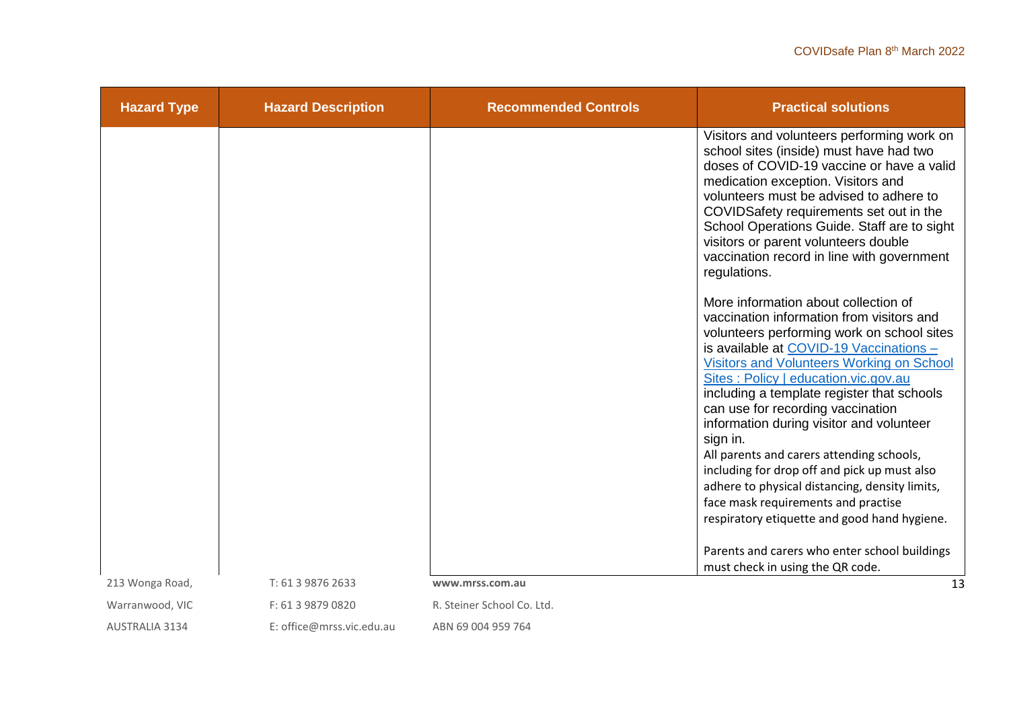| <b>Hazard Type</b>    | <b>Hazard Description</b> | <b>Recommended Controls</b> | <b>Practical solutions</b>                                                                                                                                                                                                                                                                                                                                                                                                                                                                                                                                                                                                                       |
|-----------------------|---------------------------|-----------------------------|--------------------------------------------------------------------------------------------------------------------------------------------------------------------------------------------------------------------------------------------------------------------------------------------------------------------------------------------------------------------------------------------------------------------------------------------------------------------------------------------------------------------------------------------------------------------------------------------------------------------------------------------------|
|                       |                           |                             | Visitors and volunteers performing work on<br>school sites (inside) must have had two<br>doses of COVID-19 vaccine or have a valid<br>medication exception. Visitors and<br>volunteers must be advised to adhere to<br>COVIDSafety requirements set out in the<br>School Operations Guide. Staff are to sight<br>visitors or parent volunteers double<br>vaccination record in line with government<br>regulations.                                                                                                                                                                                                                              |
|                       |                           |                             | More information about collection of<br>vaccination information from visitors and<br>volunteers performing work on school sites<br>is available at COVID-19 Vaccinations -<br>Visitors and Volunteers Working on School<br>Sites: Policy   education.vic.gov.au<br>including a template register that schools<br>can use for recording vaccination<br>information during visitor and volunteer<br>sign in.<br>All parents and carers attending schools,<br>including for drop off and pick up must also<br>adhere to physical distancing, density limits,<br>face mask requirements and practise<br>respiratory etiquette and good hand hygiene. |
|                       |                           |                             | Parents and carers who enter school buildings                                                                                                                                                                                                                                                                                                                                                                                                                                                                                                                                                                                                    |
|                       |                           |                             | must check in using the QR code.                                                                                                                                                                                                                                                                                                                                                                                                                                                                                                                                                                                                                 |
| 213 Wonga Road,       | T: 61 3 9876 2633         | www.mrss.com.au             | 13                                                                                                                                                                                                                                                                                                                                                                                                                                                                                                                                                                                                                                               |
| Warranwood, VIC       | F: 61 3 9879 0820         | R. Steiner School Co. Ltd.  |                                                                                                                                                                                                                                                                                                                                                                                                                                                                                                                                                                                                                                                  |
| <b>AUSTRALIA 3134</b> | E: office@mrss.vic.edu.au | ABN 69 004 959 764          |                                                                                                                                                                                                                                                                                                                                                                                                                                                                                                                                                                                                                                                  |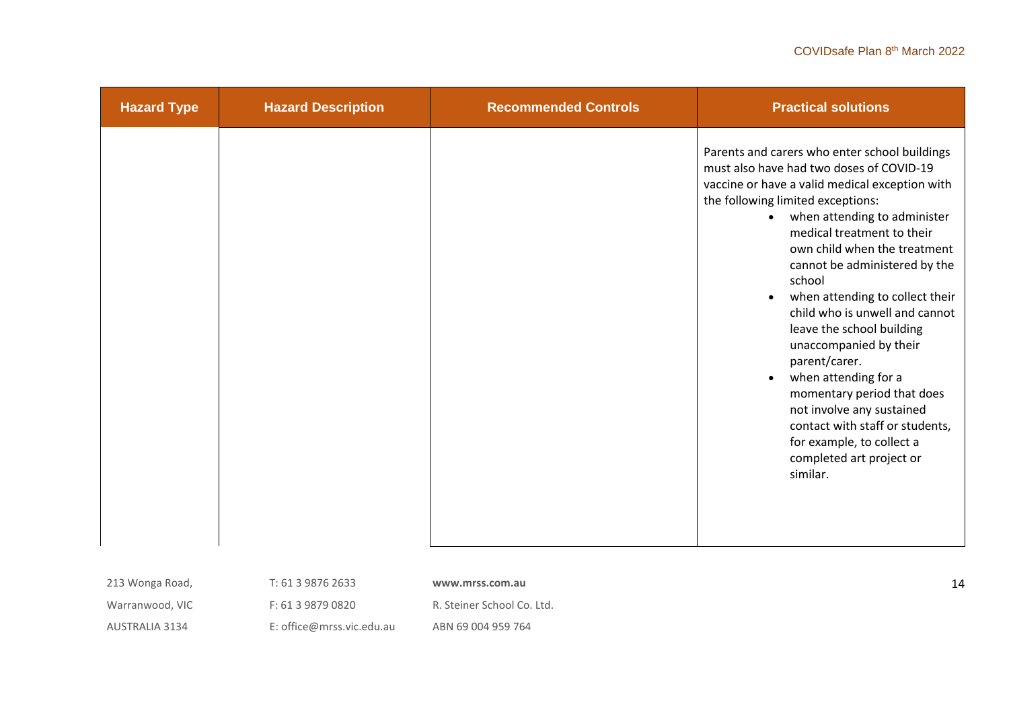| <b>Hazard Type</b> | <b>Hazard Description</b> | <b>Recommended Controls</b> | <b>Practical solutions</b>                                                                                                                                                                                                                                                                                                                                                                                                                                                                                                                                                                                                                                                                               |
|--------------------|---------------------------|-----------------------------|----------------------------------------------------------------------------------------------------------------------------------------------------------------------------------------------------------------------------------------------------------------------------------------------------------------------------------------------------------------------------------------------------------------------------------------------------------------------------------------------------------------------------------------------------------------------------------------------------------------------------------------------------------------------------------------------------------|
|                    |                           |                             | Parents and carers who enter school buildings<br>must also have had two doses of COVID-19<br>vaccine or have a valid medical exception with<br>the following limited exceptions:<br>when attending to administer<br>$\bullet$<br>medical treatment to their<br>own child when the treatment<br>cannot be administered by the<br>school<br>when attending to collect their<br>$\bullet$<br>child who is unwell and cannot<br>leave the school building<br>unaccompanied by their<br>parent/carer.<br>when attending for a<br>$\bullet$<br>momentary period that does<br>not involve any sustained<br>contact with staff or students,<br>for example, to collect a<br>completed art project or<br>similar. |
| 213 Wonga Road,    | T: 61 3 9876 2633         | www.mrss.com.au             | 14                                                                                                                                                                                                                                                                                                                                                                                                                                                                                                                                                                                                                                                                                                       |

T: 61 3 9876 2633

Warranwood, VIC

F: 61 3 9879 0820

**www.mrss.com.au** 

AUSTRALIA 3134

E: office@mrss.vic.edu.au

R. Steiner School Co. Ltd.

ABN 69 004 959 764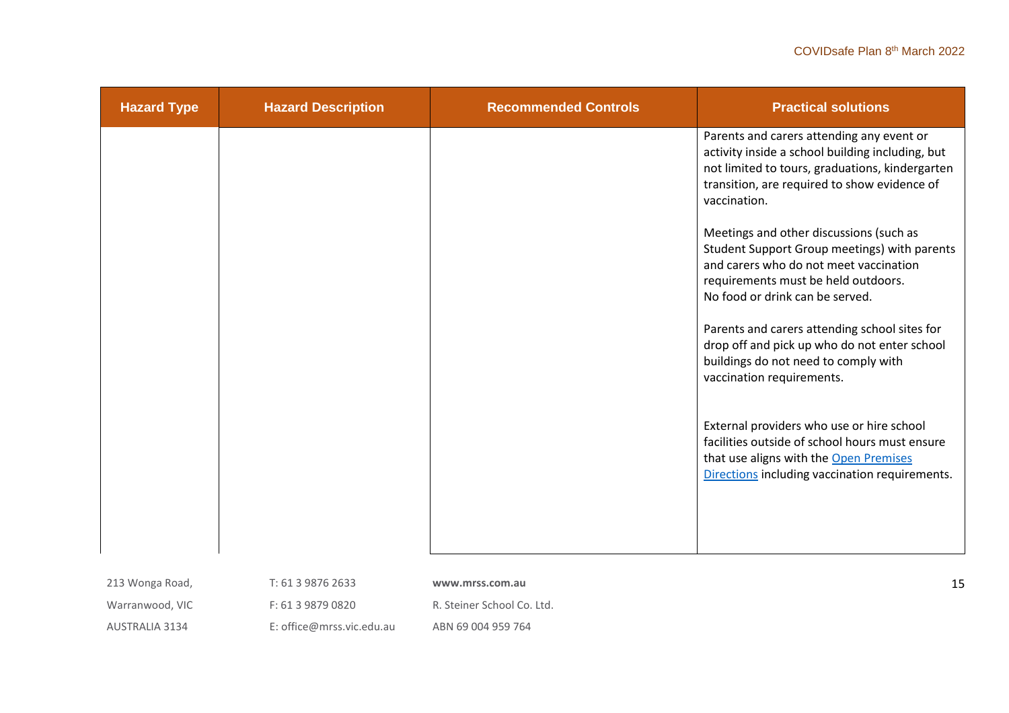| <b>Hazard Type</b> | <b>Hazard Description</b> | <b>Recommended Controls</b> | <b>Practical solutions</b>                                                                                                                                                                                       |
|--------------------|---------------------------|-----------------------------|------------------------------------------------------------------------------------------------------------------------------------------------------------------------------------------------------------------|
|                    |                           |                             | Parents and carers attending any event or<br>activity inside a school building including, but<br>not limited to tours, graduations, kindergarten<br>transition, are required to show evidence of<br>vaccination. |
|                    |                           |                             | Meetings and other discussions (such as<br>Student Support Group meetings) with parents<br>and carers who do not meet vaccination<br>requirements must be held outdoors.<br>No food or drink can be served.      |
|                    |                           |                             | Parents and carers attending school sites for<br>drop off and pick up who do not enter school<br>buildings do not need to comply with<br>vaccination requirements.                                               |
|                    |                           |                             | External providers who use or hire school<br>facilities outside of school hours must ensure<br>that use aligns with the Open Premises<br>Directions including vaccination requirements.                          |
| 213 Wonga Road,    | T: 61 3 9876 2633         | www.mrss.com.au             | 15                                                                                                                                                                                                               |

Warranwood, VIC

F: 61 3 9879 0820

R. Steiner School Co. Ltd.

AUSTRALIA 3134

E: office@mrss.vic.edu.au

ABN 69 004 959 764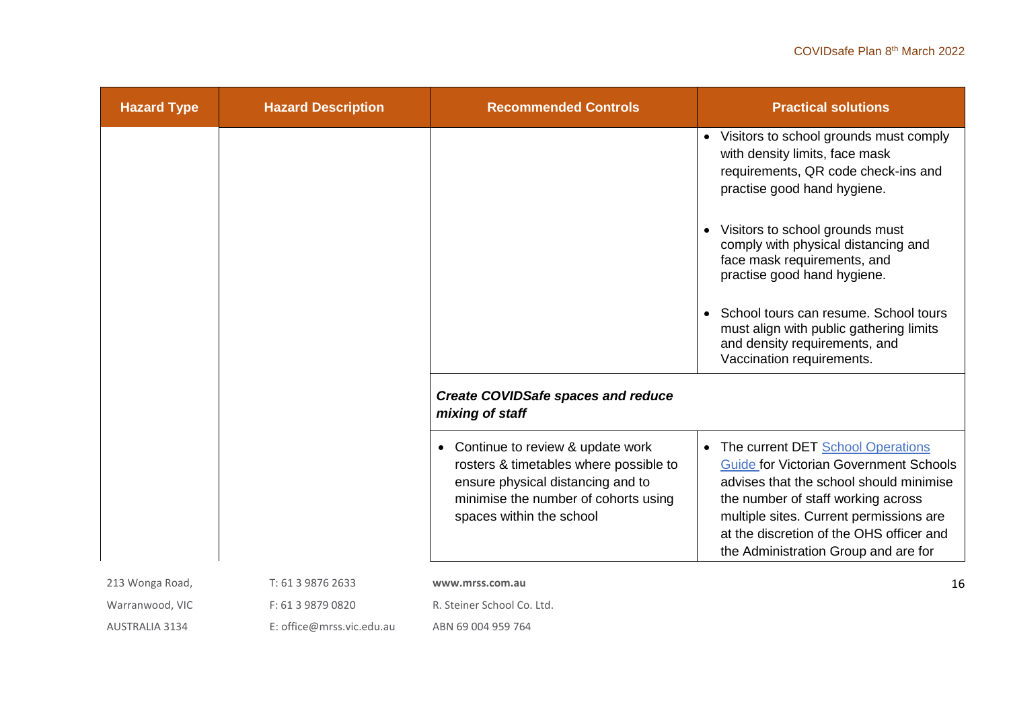| <b>Hazard Type</b>    | <b>Hazard Description</b> | <b>Recommended Controls</b>                                                                                                                                                           | <b>Practical solutions</b>                                                                                                                                                                                                                                                                           |
|-----------------------|---------------------------|---------------------------------------------------------------------------------------------------------------------------------------------------------------------------------------|------------------------------------------------------------------------------------------------------------------------------------------------------------------------------------------------------------------------------------------------------------------------------------------------------|
|                       |                           |                                                                                                                                                                                       | • Visitors to school grounds must comply<br>with density limits, face mask<br>requirements, QR code check-ins and<br>practise good hand hygiene.                                                                                                                                                     |
|                       |                           |                                                                                                                                                                                       | Visitors to school grounds must<br>comply with physical distancing and<br>face mask requirements, and<br>practise good hand hygiene.                                                                                                                                                                 |
|                       |                           |                                                                                                                                                                                       | School tours can resume. School tours<br>must align with public gathering limits<br>and density requirements, and<br>Vaccination requirements.                                                                                                                                                       |
|                       |                           | <b>Create COVIDSafe spaces and reduce</b><br>mixing of staff                                                                                                                          |                                                                                                                                                                                                                                                                                                      |
|                       |                           | • Continue to review & update work<br>rosters & timetables where possible to<br>ensure physical distancing and to<br>minimise the number of cohorts using<br>spaces within the school | • The current DET School Operations<br><b>Guide for Victorian Government Schools</b><br>advises that the school should minimise<br>the number of staff working across<br>multiple sites. Current permissions are<br>at the discretion of the OHS officer and<br>the Administration Group and are for |
| 213 Wonga Road,       | T: 61 3 9876 2633         | www.mrss.com.au                                                                                                                                                                       | 16                                                                                                                                                                                                                                                                                                   |
| Warranwood, VIC       | F: 61 3 9879 0820         | R. Steiner School Co. Ltd.                                                                                                                                                            |                                                                                                                                                                                                                                                                                                      |
| <b>AUSTRALIA 3134</b> | E: office@mrss.vic.edu.au | ABN 69 004 959 764                                                                                                                                                                    |                                                                                                                                                                                                                                                                                                      |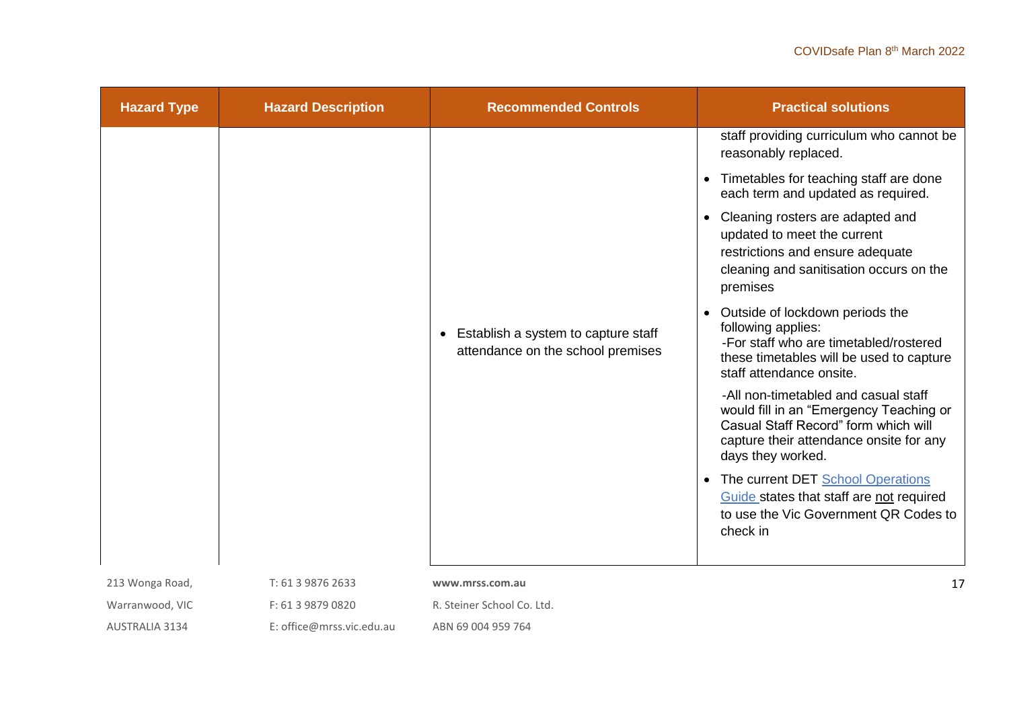| <b>Hazard Type</b> | <b>Hazard Description</b> | <b>Recommended Controls</b>                                              | <b>Practical solutions</b>                                                                                                                                                              |
|--------------------|---------------------------|--------------------------------------------------------------------------|-----------------------------------------------------------------------------------------------------------------------------------------------------------------------------------------|
|                    |                           |                                                                          | staff providing curriculum who cannot be<br>reasonably replaced.                                                                                                                        |
|                    |                           |                                                                          | Timetables for teaching staff are done<br>$\bullet$<br>each term and updated as required.                                                                                               |
|                    |                           |                                                                          | Cleaning rosters are adapted and<br>updated to meet the current<br>restrictions and ensure adequate<br>cleaning and sanitisation occurs on the<br>premises                              |
|                    |                           | Establish a system to capture staff<br>attendance on the school premises | • Outside of lockdown periods the<br>following applies:<br>-For staff who are timetabled/rostered<br>these timetables will be used to capture<br>staff attendance onsite.               |
|                    |                           |                                                                          | -All non-timetabled and casual staff<br>would fill in an "Emergency Teaching or<br>Casual Staff Record" form which will<br>capture their attendance onsite for any<br>days they worked. |
|                    |                           |                                                                          | The current DET School Operations<br>$\bullet$<br>Guide states that staff are not required<br>to use the Vic Government QR Codes to<br>check in                                         |
| 213 Wonga Road,    | T: 61 3 9876 2633         | www.mrss.com.au                                                          | 17                                                                                                                                                                                      |
| Warranwood, VIC    | F: 61 3 9879 0820         | R. Steiner School Co. Ltd.                                               |                                                                                                                                                                                         |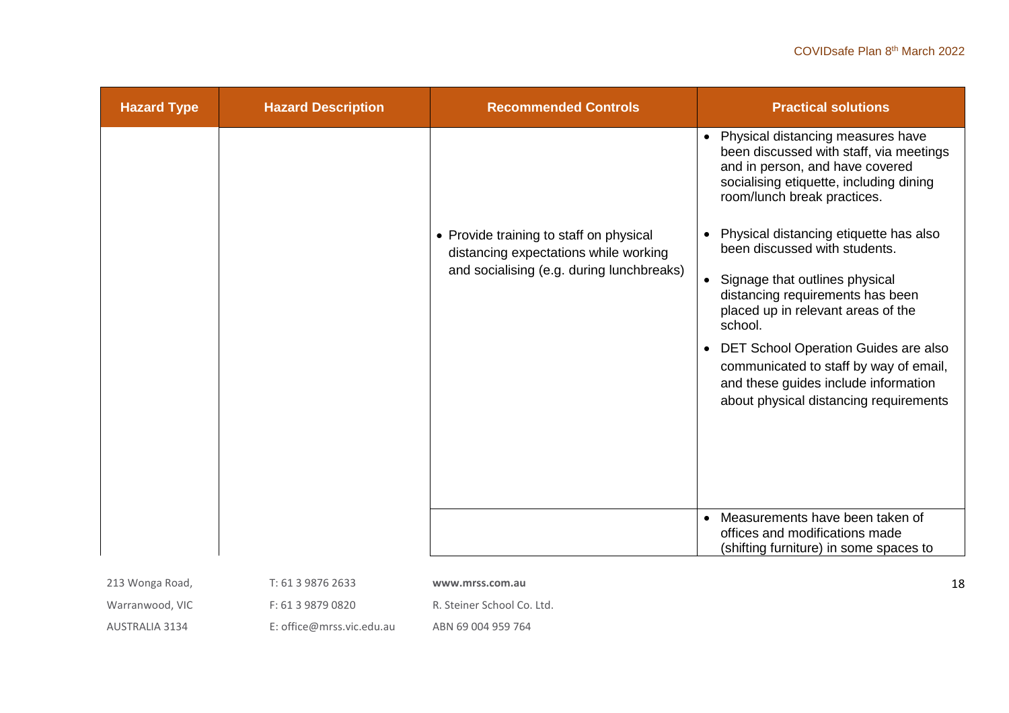| <b>Hazard Type</b> | <b>Hazard Description</b> | <b>Recommended Controls</b>                                                                                                   | <b>Practical solutions</b>                                                                                                                                                                                                                                                                                                                                                                                                                                                                                                                                                                                                                                                                                                                      |
|--------------------|---------------------------|-------------------------------------------------------------------------------------------------------------------------------|-------------------------------------------------------------------------------------------------------------------------------------------------------------------------------------------------------------------------------------------------------------------------------------------------------------------------------------------------------------------------------------------------------------------------------------------------------------------------------------------------------------------------------------------------------------------------------------------------------------------------------------------------------------------------------------------------------------------------------------------------|
|                    |                           | • Provide training to staff on physical<br>distancing expectations while working<br>and socialising (e.g. during lunchbreaks) | Physical distancing measures have<br>$\bullet$<br>been discussed with staff, via meetings<br>and in person, and have covered<br>socialising etiquette, including dining<br>room/lunch break practices.<br>Physical distancing etiquette has also<br>$\bullet$<br>been discussed with students.<br>Signage that outlines physical<br>$\bullet$<br>distancing requirements has been<br>placed up in relevant areas of the<br>school.<br>DET School Operation Guides are also<br>$\bullet$<br>communicated to staff by way of email,<br>and these guides include information<br>about physical distancing requirements<br>Measurements have been taken of<br>$\bullet$<br>offices and modifications made<br>(shifting furniture) in some spaces to |
|                    |                           |                                                                                                                               |                                                                                                                                                                                                                                                                                                                                                                                                                                                                                                                                                                                                                                                                                                                                                 |
| 213 Wonga Road,    | T: 61 3 9876 2633         | www.mrss.com.au                                                                                                               | 18                                                                                                                                                                                                                                                                                                                                                                                                                                                                                                                                                                                                                                                                                                                                              |
| Warranwood, VIC    | F: 61 3 9879 0820         | R. Steiner School Co. Ltd.                                                                                                    |                                                                                                                                                                                                                                                                                                                                                                                                                                                                                                                                                                                                                                                                                                                                                 |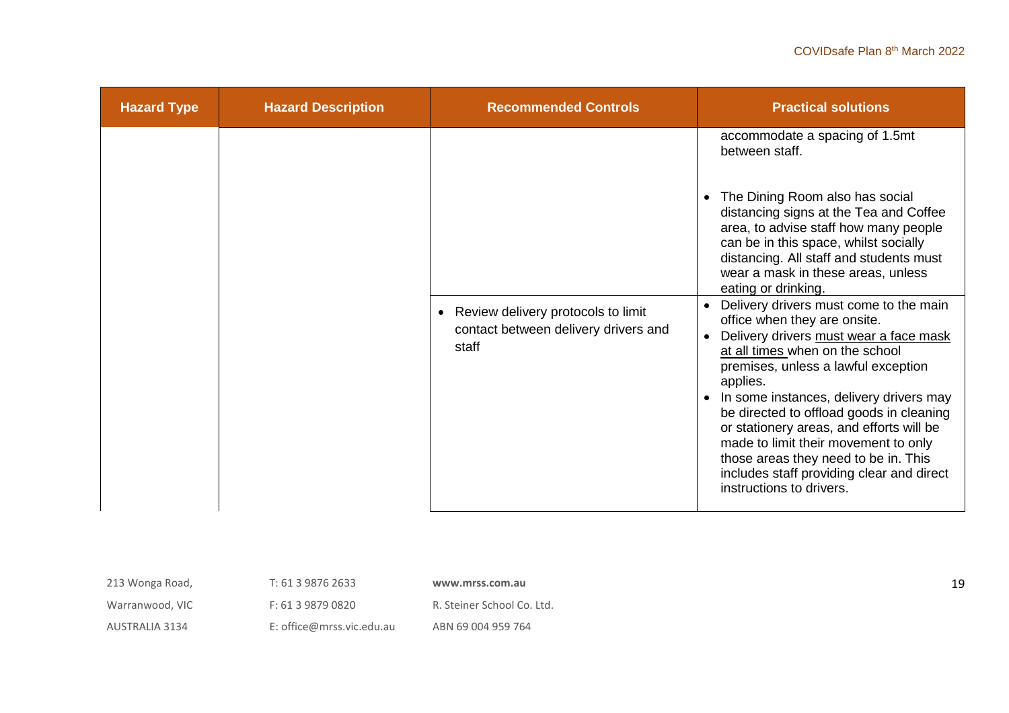| <b>Hazard Type</b> | <b>Hazard Description</b> | <b>Recommended Controls</b>                                                           | <b>Practical solutions</b>                                                                                                                                                                                                                                                                                                                                                                                                                                                                                                                                                                                                                                                                                                                                                                                                                              |
|--------------------|---------------------------|---------------------------------------------------------------------------------------|---------------------------------------------------------------------------------------------------------------------------------------------------------------------------------------------------------------------------------------------------------------------------------------------------------------------------------------------------------------------------------------------------------------------------------------------------------------------------------------------------------------------------------------------------------------------------------------------------------------------------------------------------------------------------------------------------------------------------------------------------------------------------------------------------------------------------------------------------------|
|                    |                           | • Review delivery protocols to limit<br>contact between delivery drivers and<br>staff | accommodate a spacing of 1.5mt<br>between staff.<br>The Dining Room also has social<br>distancing signs at the Tea and Coffee<br>area, to advise staff how many people<br>can be in this space, whilst socially<br>distancing. All staff and students must<br>wear a mask in these areas, unless<br>eating or drinking.<br>Delivery drivers must come to the main<br>$\bullet$<br>office when they are onsite.<br>Delivery drivers must wear a face mask<br>$\bullet$<br>at all times when on the school<br>premises, unless a lawful exception<br>applies.<br>In some instances, delivery drivers may<br>be directed to offload goods in cleaning<br>or stationery areas, and efforts will be<br>made to limit their movement to only<br>those areas they need to be in. This<br>includes staff providing clear and direct<br>instructions to drivers. |

| 213 Wonga Road,       | T: 61 3 9876 2633         | www.mrss.com.au            | 19 |
|-----------------------|---------------------------|----------------------------|----|
| Warranwood, VIC       | F: 61 3 9879 0820         | R. Steiner School Co. Ltd. |    |
| <b>AUSTRALIA 3134</b> | E: office@mrss.vic.edu.au | ABN 69 004 959 764         |    |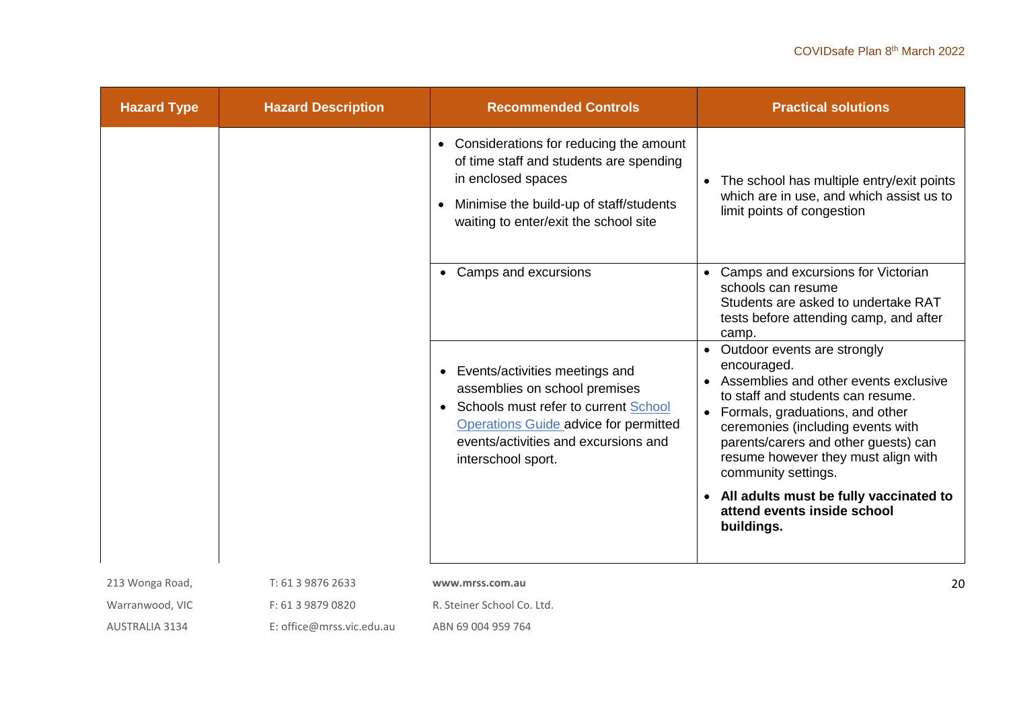| <b>Hazard Type</b>    | <b>Hazard Description</b> | <b>Recommended Controls</b>                                                                                                                                                                                           | <b>Practical solutions</b>                                                                                                                                                                                                                                                                                                       |
|-----------------------|---------------------------|-----------------------------------------------------------------------------------------------------------------------------------------------------------------------------------------------------------------------|----------------------------------------------------------------------------------------------------------------------------------------------------------------------------------------------------------------------------------------------------------------------------------------------------------------------------------|
|                       |                           | Considerations for reducing the amount<br>$\bullet$<br>of time staff and students are spending<br>in enclosed spaces<br>Minimise the build-up of staff/students<br>$\bullet$<br>waiting to enter/exit the school site | The school has multiple entry/exit points<br>$\bullet$<br>which are in use, and which assist us to<br>limit points of congestion                                                                                                                                                                                                 |
|                       |                           | Camps and excursions<br>$\bullet$                                                                                                                                                                                     | Camps and excursions for Victorian<br>$\bullet$<br>schools can resume<br>Students are asked to undertake RAT<br>tests before attending camp, and after<br>camp.                                                                                                                                                                  |
|                       |                           | Events/activities meetings and<br>assemblies on school premises<br>Schools must refer to current School<br>Operations Guide advice for permitted<br>events/activities and excursions and<br>interschool sport.        | Outdoor events are strongly<br>encouraged.<br>Assemblies and other events exclusive<br>$\bullet$<br>to staff and students can resume.<br>Formals, graduations, and other<br>$\bullet$<br>ceremonies (including events with<br>parents/carers and other guests) can<br>resume however they must align with<br>community settings. |
|                       |                           |                                                                                                                                                                                                                       | • All adults must be fully vaccinated to<br>attend events inside school<br>buildings.                                                                                                                                                                                                                                            |
| 213 Wonga Road,       | T: 61 3 9876 2633         | www.mrss.com.au                                                                                                                                                                                                       | 20                                                                                                                                                                                                                                                                                                                               |
| Warranwood, VIC       | F: 61 3 9879 0820         | R. Steiner School Co. Ltd.                                                                                                                                                                                            |                                                                                                                                                                                                                                                                                                                                  |
| <b>AUSTRALIA 3134</b> | E: office@mrss.vic.edu.au | ABN 69 004 959 764                                                                                                                                                                                                    |                                                                                                                                                                                                                                                                                                                                  |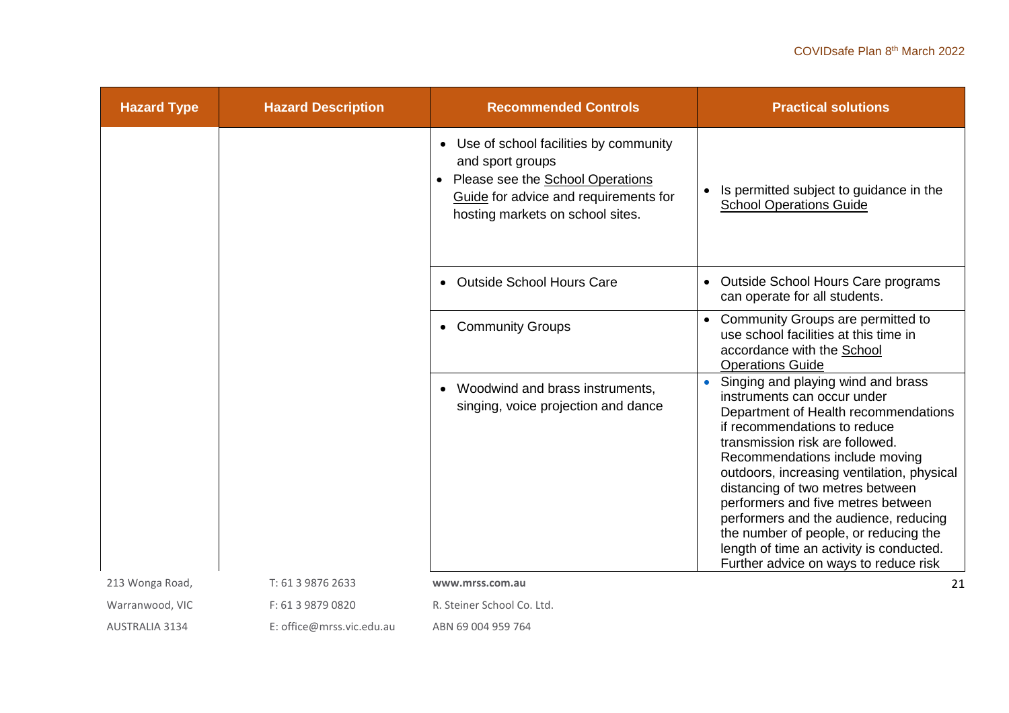| <b>Hazard Type</b> | <b>Hazard Description</b> | <b>Recommended Controls</b>                                                                                                                                                         | <b>Practical solutions</b>                                                                                                                                                                                                                                                                                                                                                                                                                                                                                    |
|--------------------|---------------------------|-------------------------------------------------------------------------------------------------------------------------------------------------------------------------------------|---------------------------------------------------------------------------------------------------------------------------------------------------------------------------------------------------------------------------------------------------------------------------------------------------------------------------------------------------------------------------------------------------------------------------------------------------------------------------------------------------------------|
|                    |                           | • Use of school facilities by community<br>and sport groups<br>Please see the <b>School Operations</b><br>Guide for advice and requirements for<br>hosting markets on school sites. | Is permitted subject to guidance in the<br><b>School Operations Guide</b>                                                                                                                                                                                                                                                                                                                                                                                                                                     |
|                    |                           | • Outside School Hours Care                                                                                                                                                         | Outside School Hours Care programs<br>can operate for all students.                                                                                                                                                                                                                                                                                                                                                                                                                                           |
|                    |                           | <b>Community Groups</b><br>$\bullet$                                                                                                                                                | Community Groups are permitted to<br>use school facilities at this time in<br>accordance with the School<br><b>Operations Guide</b>                                                                                                                                                                                                                                                                                                                                                                           |
|                    |                           | Woodwind and brass instruments,<br>singing, voice projection and dance                                                                                                              | Singing and playing wind and brass<br>instruments can occur under<br>Department of Health recommendations<br>if recommendations to reduce<br>transmission risk are followed.<br>Recommendations include moving<br>outdoors, increasing ventilation, physical<br>distancing of two metres between<br>performers and five metres between<br>performers and the audience, reducing<br>the number of people, or reducing the<br>length of time an activity is conducted.<br>Further advice on ways to reduce risk |
| 213 Wonga Road,    | T: 61 3 9876 2633         | www.mrss.com.au                                                                                                                                                                     | 21                                                                                                                                                                                                                                                                                                                                                                                                                                                                                                            |
| Warranwood, VIC    | F: 61 3 9879 0820         | R. Steiner School Co. Ltd.                                                                                                                                                          |                                                                                                                                                                                                                                                                                                                                                                                                                                                                                                               |
| AUSTRALIA 3134     | E: office@mrss.vic.edu.au | ABN 69 004 959 764                                                                                                                                                                  |                                                                                                                                                                                                                                                                                                                                                                                                                                                                                                               |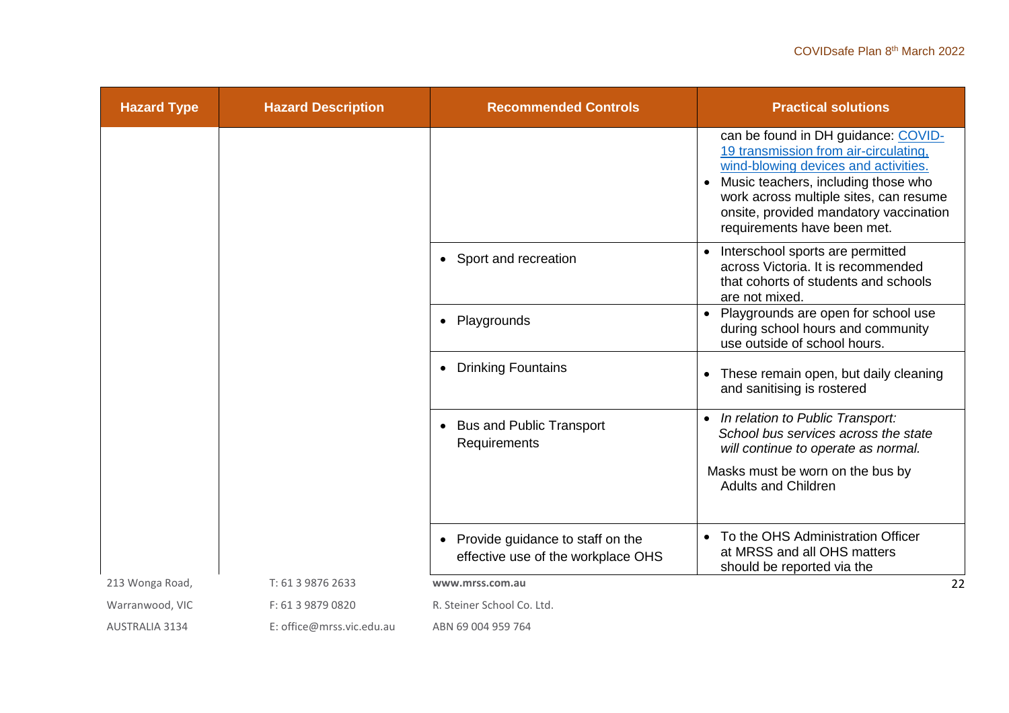| <b>Hazard Type</b>    | <b>Hazard Description</b> | <b>Recommended Controls</b>                                                         | <b>Practical solutions</b>                                                                                                                                                                                                                                                                  |
|-----------------------|---------------------------|-------------------------------------------------------------------------------------|---------------------------------------------------------------------------------------------------------------------------------------------------------------------------------------------------------------------------------------------------------------------------------------------|
|                       |                           |                                                                                     | can be found in DH guidance: COVID-<br>19 transmission from air-circulating,<br>wind-blowing devices and activities.<br>Music teachers, including those who<br>$\bullet$<br>work across multiple sites, can resume<br>onsite, provided mandatory vaccination<br>requirements have been met. |
|                       |                           | Sport and recreation<br>$\bullet$                                                   | Interschool sports are permitted<br>across Victoria. It is recommended<br>that cohorts of students and schools<br>are not mixed.                                                                                                                                                            |
|                       |                           | Playgrounds<br>$\bullet$                                                            | Playgrounds are open for school use<br>during school hours and community<br>use outside of school hours.                                                                                                                                                                                    |
|                       |                           | <b>Drinking Fountains</b><br>$\bullet$                                              | These remain open, but daily cleaning<br>and sanitising is rostered                                                                                                                                                                                                                         |
|                       |                           | <b>Bus and Public Transport</b><br>Requirements                                     | In relation to Public Transport:<br>$\bullet$<br>School bus services across the state<br>will continue to operate as normal.                                                                                                                                                                |
|                       |                           |                                                                                     | Masks must be worn on the bus by<br><b>Adults and Children</b>                                                                                                                                                                                                                              |
|                       |                           | Provide guidance to staff on the<br>$\bullet$<br>effective use of the workplace OHS | • To the OHS Administration Officer<br>at MRSS and all OHS matters<br>should be reported via the                                                                                                                                                                                            |
| 213 Wonga Road,       | T: 61 3 9876 2633         | www.mrss.com.au                                                                     | 22                                                                                                                                                                                                                                                                                          |
| Warranwood, VIC       | F: 61 3 9879 0820         | R. Steiner School Co. Ltd.                                                          |                                                                                                                                                                                                                                                                                             |
| <b>AUSTRALIA 3134</b> | E: office@mrss.vic.edu.au | ABN 69 004 959 764                                                                  |                                                                                                                                                                                                                                                                                             |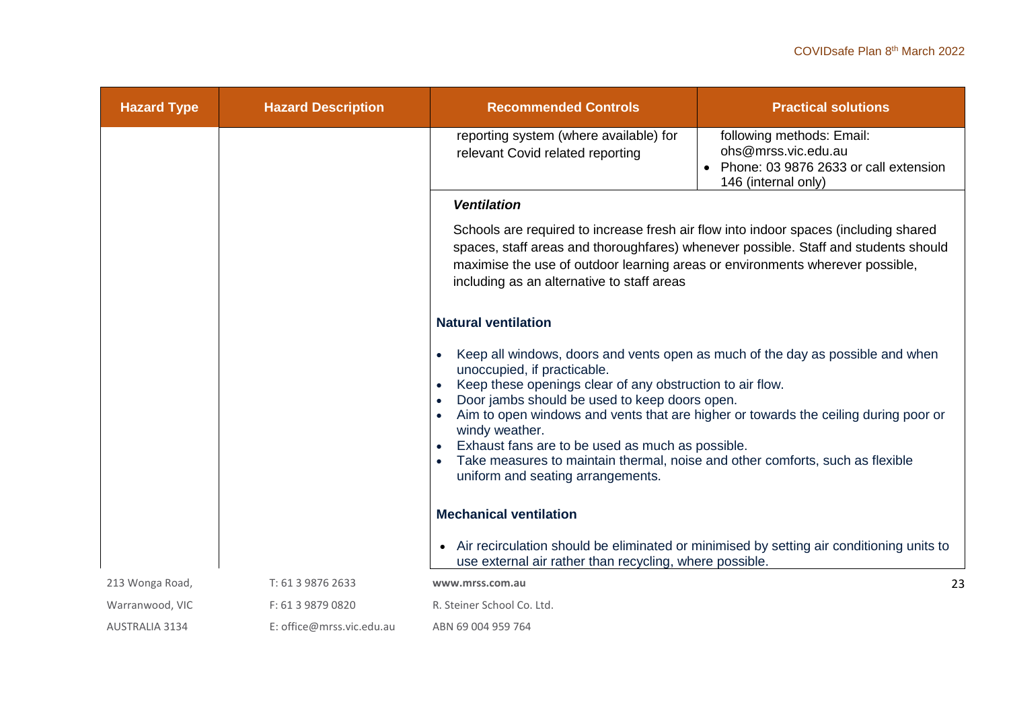| <b>Hazard Type</b>    | <b>Hazard Description</b> | <b>Recommended Controls</b>                                                                                                                                                                                                                                                                                                                                                                                                                                                                                    | <b>Practical solutions</b>                                                                                       |
|-----------------------|---------------------------|----------------------------------------------------------------------------------------------------------------------------------------------------------------------------------------------------------------------------------------------------------------------------------------------------------------------------------------------------------------------------------------------------------------------------------------------------------------------------------------------------------------|------------------------------------------------------------------------------------------------------------------|
|                       |                           | reporting system (where available) for<br>relevant Covid related reporting                                                                                                                                                                                                                                                                                                                                                                                                                                     | following methods: Email:<br>ohs@mrss.vic.edu.au<br>Phone: 03 9876 2633 or call extension<br>146 (internal only) |
|                       |                           | <b>Ventilation</b>                                                                                                                                                                                                                                                                                                                                                                                                                                                                                             |                                                                                                                  |
|                       |                           | Schools are required to increase fresh air flow into indoor spaces (including shared<br>spaces, staff areas and thoroughfares) whenever possible. Staff and students should<br>maximise the use of outdoor learning areas or environments wherever possible,<br>including as an alternative to staff areas                                                                                                                                                                                                     |                                                                                                                  |
|                       |                           | <b>Natural ventilation</b>                                                                                                                                                                                                                                                                                                                                                                                                                                                                                     |                                                                                                                  |
|                       |                           | Keep all windows, doors and vents open as much of the day as possible and when<br>unoccupied, if practicable.<br>Keep these openings clear of any obstruction to air flow.<br>Door jambs should be used to keep doors open.<br>Aim to open windows and vents that are higher or towards the ceiling during poor or<br>windy weather.<br>Exhaust fans are to be used as much as possible.<br>Take measures to maintain thermal, noise and other comforts, such as flexible<br>uniform and seating arrangements. |                                                                                                                  |
|                       |                           | <b>Mechanical ventilation</b>                                                                                                                                                                                                                                                                                                                                                                                                                                                                                  |                                                                                                                  |
|                       |                           | use external air rather than recycling, where possible.                                                                                                                                                                                                                                                                                                                                                                                                                                                        | Air recirculation should be eliminated or minimised by setting air conditioning units to                         |
| 213 Wonga Road,       | T: 61 3 9876 2633         | www.mrss.com.au                                                                                                                                                                                                                                                                                                                                                                                                                                                                                                | 23                                                                                                               |
| Warranwood, VIC       | F: 61 3 9879 0820         | R. Steiner School Co. Ltd.                                                                                                                                                                                                                                                                                                                                                                                                                                                                                     |                                                                                                                  |
| <b>AUSTRALIA 3134</b> | E: office@mrss.vic.edu.au | ABN 69 004 959 764                                                                                                                                                                                                                                                                                                                                                                                                                                                                                             |                                                                                                                  |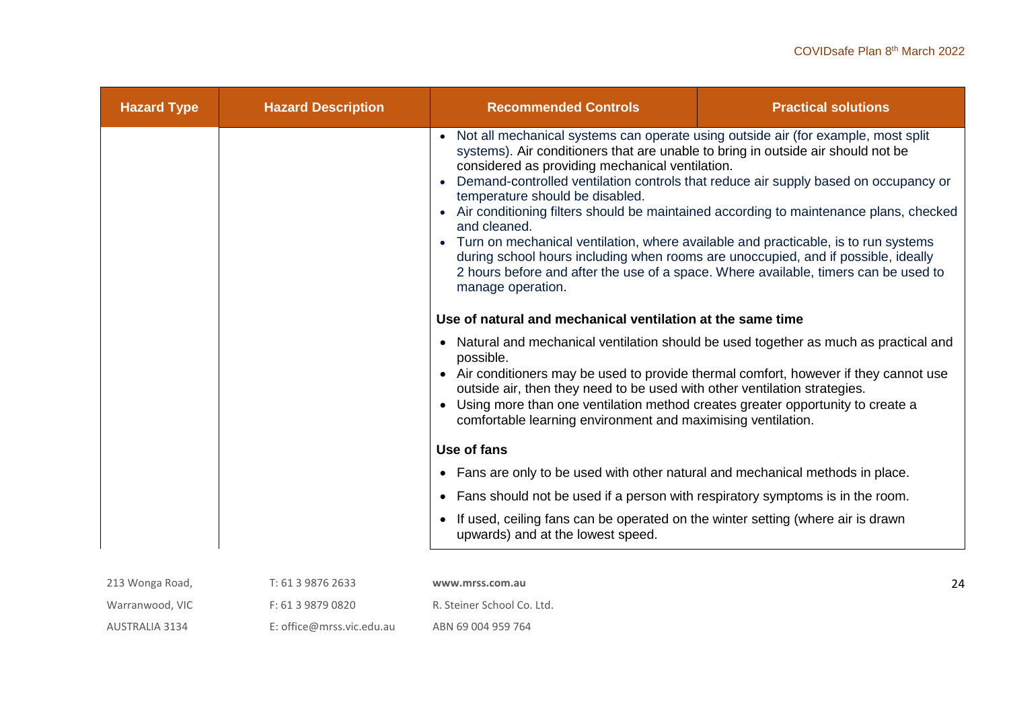| <b>Hazard Type</b> | <b>Hazard Description</b> | <b>Recommended Controls</b>                                                                                                                                                                                                                                                                                                                                                                                                                                                                                                                                                                                                                                                                                                                        | <b>Practical solutions</b> |
|--------------------|---------------------------|----------------------------------------------------------------------------------------------------------------------------------------------------------------------------------------------------------------------------------------------------------------------------------------------------------------------------------------------------------------------------------------------------------------------------------------------------------------------------------------------------------------------------------------------------------------------------------------------------------------------------------------------------------------------------------------------------------------------------------------------------|----------------------------|
|                    |                           | Not all mechanical systems can operate using outside air (for example, most split<br>systems). Air conditioners that are unable to bring in outside air should not be<br>considered as providing mechanical ventilation.<br>Demand-controlled ventilation controls that reduce air supply based on occupancy or<br>temperature should be disabled.<br>Air conditioning filters should be maintained according to maintenance plans, checked<br>and cleaned.<br>Turn on mechanical ventilation, where available and practicable, is to run systems<br>during school hours including when rooms are unoccupied, and if possible, ideally<br>2 hours before and after the use of a space. Where available, timers can be used to<br>manage operation. |                            |
|                    |                           | Use of natural and mechanical ventilation at the same time                                                                                                                                                                                                                                                                                                                                                                                                                                                                                                                                                                                                                                                                                         |                            |
|                    |                           | Natural and mechanical ventilation should be used together as much as practical and<br>$\bullet$<br>possible.<br>Air conditioners may be used to provide thermal comfort, however if they cannot use<br>outside air, then they need to be used with other ventilation strategies.<br>Using more than one ventilation method creates greater opportunity to create a<br>$\bullet$<br>comfortable learning environment and maximising ventilation.                                                                                                                                                                                                                                                                                                   |                            |
|                    |                           | Use of fans                                                                                                                                                                                                                                                                                                                                                                                                                                                                                                                                                                                                                                                                                                                                        |                            |
|                    |                           | Fans are only to be used with other natural and mechanical methods in place.<br>$\bullet$                                                                                                                                                                                                                                                                                                                                                                                                                                                                                                                                                                                                                                                          |                            |
|                    |                           | Fans should not be used if a person with respiratory symptoms is in the room.                                                                                                                                                                                                                                                                                                                                                                                                                                                                                                                                                                                                                                                                      |                            |
|                    |                           | If used, ceiling fans can be operated on the winter setting (where air is drawn<br>upwards) and at the lowest speed.                                                                                                                                                                                                                                                                                                                                                                                                                                                                                                                                                                                                                               |                            |
| 213 Wonga Road,    | T: 61 3 9876 2633         | www.mrss.com.au                                                                                                                                                                                                                                                                                                                                                                                                                                                                                                                                                                                                                                                                                                                                    | 24                         |
| Warranwood, VIC    | F: 61 3 9879 0820         | R. Steiner School Co. Ltd.                                                                                                                                                                                                                                                                                                                                                                                                                                                                                                                                                                                                                                                                                                                         |                            |

ABN 69 004 959 764

AUSTRALIA 3134

E: office@mrss.vic.edu.au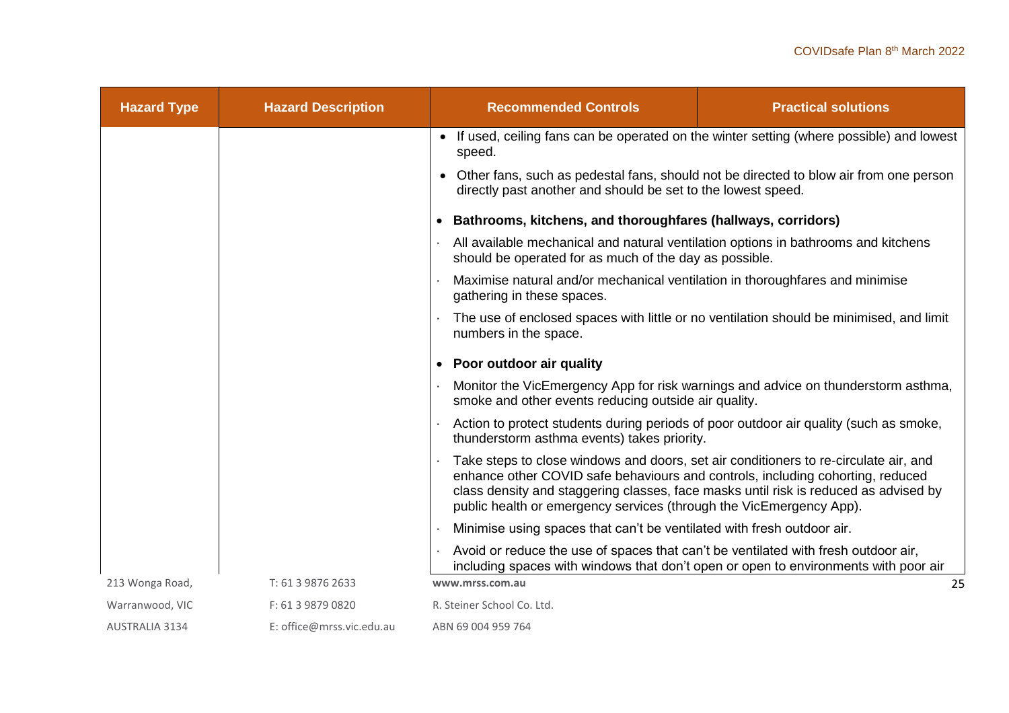| <b>Hazard Type</b>    | <b>Hazard Description</b> | <b>Recommended Controls</b>                                                                                                                                                                                                                                                                                                           | <b>Practical solutions</b>                                                          |
|-----------------------|---------------------------|---------------------------------------------------------------------------------------------------------------------------------------------------------------------------------------------------------------------------------------------------------------------------------------------------------------------------------------|-------------------------------------------------------------------------------------|
|                       |                           | • If used, ceiling fans can be operated on the winter setting (where possible) and lowest<br>speed.                                                                                                                                                                                                                                   |                                                                                     |
|                       |                           | • Other fans, such as pedestal fans, should not be directed to blow air from one person<br>directly past another and should be set to the lowest speed.                                                                                                                                                                               |                                                                                     |
|                       |                           | • Bathrooms, kitchens, and thoroughfares (hallways, corridors)                                                                                                                                                                                                                                                                        |                                                                                     |
|                       |                           | All available mechanical and natural ventilation options in bathrooms and kitchens<br>should be operated for as much of the day as possible.                                                                                                                                                                                          |                                                                                     |
|                       |                           | Maximise natural and/or mechanical ventilation in thoroughfares and minimise<br>gathering in these spaces.                                                                                                                                                                                                                            |                                                                                     |
|                       |                           | The use of enclosed spaces with little or no ventilation should be minimised, and limit<br>numbers in the space.                                                                                                                                                                                                                      |                                                                                     |
|                       |                           | • Poor outdoor air quality                                                                                                                                                                                                                                                                                                            |                                                                                     |
|                       |                           | smoke and other events reducing outside air quality.                                                                                                                                                                                                                                                                                  | Monitor the VicEmergency App for risk warnings and advice on thunderstorm asthma,   |
|                       |                           | Action to protect students during periods of poor outdoor air quality (such as smoke,<br>thunderstorm asthma events) takes priority.                                                                                                                                                                                                  |                                                                                     |
|                       |                           | Take steps to close windows and doors, set air conditioners to re-circulate air, and<br>enhance other COVID safe behaviours and controls, including cohorting, reduced<br>class density and staggering classes, face masks until risk is reduced as advised by<br>public health or emergency services (through the VicEmergency App). |                                                                                     |
|                       |                           | Minimise using spaces that can't be ventilated with fresh outdoor air.                                                                                                                                                                                                                                                                |                                                                                     |
|                       |                           | Avoid or reduce the use of spaces that can't be ventilated with fresh outdoor air,                                                                                                                                                                                                                                                    | including spaces with windows that don't open or open to environments with poor air |
| 213 Wonga Road,       | T: 61 3 9876 2633         | www.mrss.com.au                                                                                                                                                                                                                                                                                                                       | 25                                                                                  |
| Warranwood, VIC       | F: 61 3 9879 0820         | R. Steiner School Co. Ltd.                                                                                                                                                                                                                                                                                                            |                                                                                     |
| <b>AUSTRALIA 3134</b> | E: office@mrss.vic.edu.au | ABN 69 004 959 764                                                                                                                                                                                                                                                                                                                    |                                                                                     |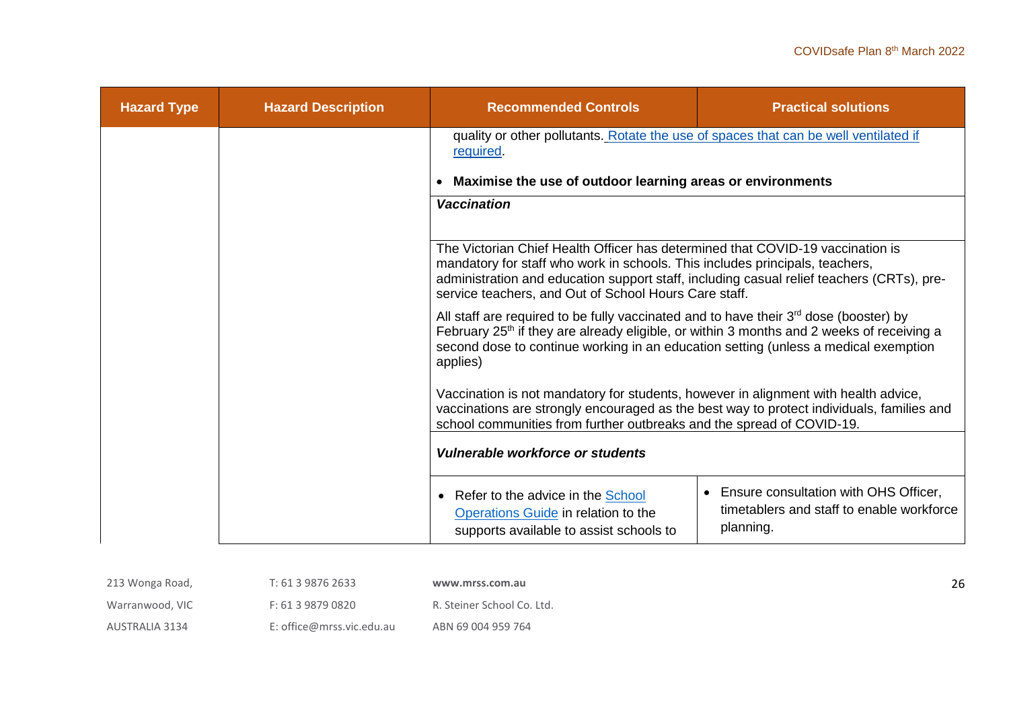| <b>Hazard Type</b> | <b>Hazard Description</b> | <b>Recommended Controls</b>                                                                                                                                                                                                                                                                                          | <b>Practical solutions</b>                                                                        |
|--------------------|---------------------------|----------------------------------------------------------------------------------------------------------------------------------------------------------------------------------------------------------------------------------------------------------------------------------------------------------------------|---------------------------------------------------------------------------------------------------|
|                    |                           | quality or other pollutants. Rotate the use of spaces that can be well ventilated if<br>required.                                                                                                                                                                                                                    |                                                                                                   |
|                    |                           | Maximise the use of outdoor learning areas or environments                                                                                                                                                                                                                                                           |                                                                                                   |
|                    |                           | <b>Vaccination</b>                                                                                                                                                                                                                                                                                                   |                                                                                                   |
|                    |                           | The Victorian Chief Health Officer has determined that COVID-19 vaccination is<br>mandatory for staff who work in schools. This includes principals, teachers,<br>administration and education support staff, including casual relief teachers (CRTs), pre-<br>service teachers, and Out of School Hours Care staff. |                                                                                                   |
|                    |                           | All staff are required to be fully vaccinated and to have their $3^{rd}$ dose (booster) by<br>February 25 <sup>th</sup> if they are already eligible, or within 3 months and 2 weeks of receiving a<br>second dose to continue working in an education setting (unless a medical exemption<br>applies)               |                                                                                                   |
|                    |                           | Vaccination is not mandatory for students, however in alignment with health advice,<br>vaccinations are strongly encouraged as the best way to protect individuals, families and<br>school communities from further outbreaks and the spread of COVID-19.                                                            |                                                                                                   |
|                    |                           | Vulnerable workforce or students                                                                                                                                                                                                                                                                                     |                                                                                                   |
|                    |                           | Refer to the advice in the <b>School</b><br>$\bullet$<br>Operations Guide in relation to the<br>supports available to assist schools to                                                                                                                                                                              | • Ensure consultation with OHS Officer,<br>timetablers and staff to enable workforce<br>planning. |

| 213 Wonga Road, | T: 61 3 9876 2633         | www.mrss.com.au            |
|-----------------|---------------------------|----------------------------|
| Warranwood, VIC | F: 61 3 9879 0820         | R. Steiner School Co. Ltd. |
| AUSTRALIA 3134  | E: office@mrss.vic.edu.au | ABN 69 004 959 764         |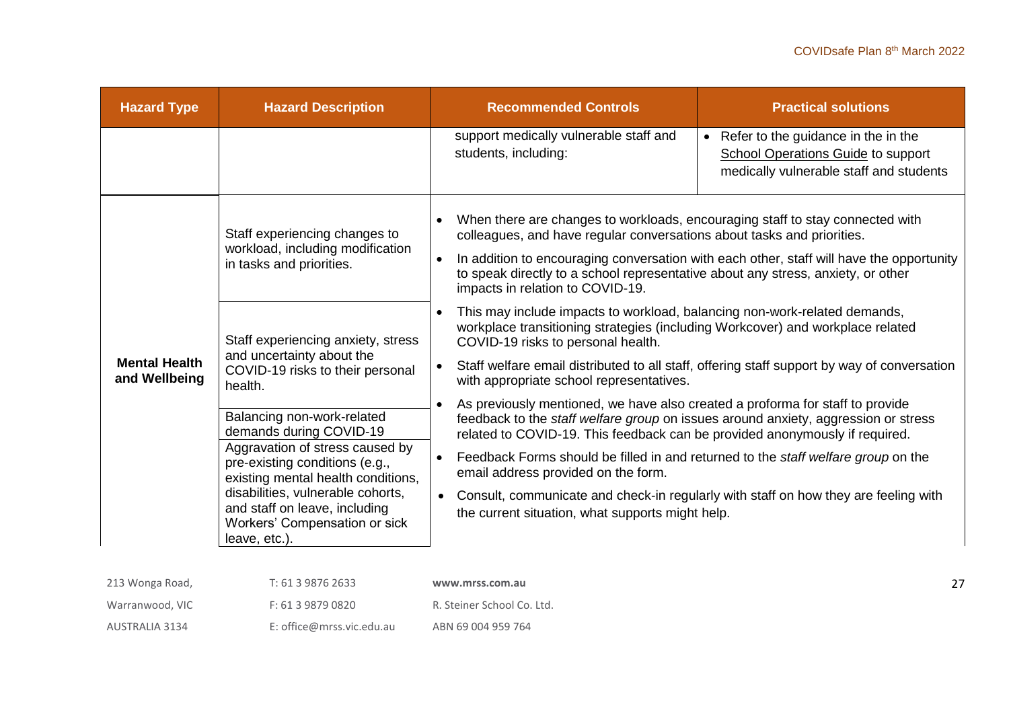| <b>Hazard Type</b>                                                                                                                                                                                                                                                                                                                                       | <b>Hazard Description</b>                                                                     | <b>Recommended Controls</b>                                                                                                                                                                                                                                                                                                                                                                                                                                                                                                                                                               | <b>Practical solutions</b>                                                                                                    |
|----------------------------------------------------------------------------------------------------------------------------------------------------------------------------------------------------------------------------------------------------------------------------------------------------------------------------------------------------------|-----------------------------------------------------------------------------------------------|-------------------------------------------------------------------------------------------------------------------------------------------------------------------------------------------------------------------------------------------------------------------------------------------------------------------------------------------------------------------------------------------------------------------------------------------------------------------------------------------------------------------------------------------------------------------------------------------|-------------------------------------------------------------------------------------------------------------------------------|
|                                                                                                                                                                                                                                                                                                                                                          |                                                                                               | support medically vulnerable staff and<br>students, including:                                                                                                                                                                                                                                                                                                                                                                                                                                                                                                                            | • Refer to the guidance in the in the<br><b>School Operations Guide to support</b><br>medically vulnerable staff and students |
|                                                                                                                                                                                                                                                                                                                                                          | Staff experiencing changes to<br>workload, including modification<br>in tasks and priorities. | When there are changes to workloads, encouraging staff to stay connected with<br>colleagues, and have regular conversations about tasks and priorities.<br>In addition to encouraging conversation with each other, staff will have the opportunity<br>to speak directly to a school representative about any stress, anxiety, or other<br>impacts in relation to COVID-19.                                                                                                                                                                                                               |                                                                                                                               |
| <b>Mental Health</b>                                                                                                                                                                                                                                                                                                                                     | Staff experiencing anxiety, stress<br>and uncertainty about the                               | This may include impacts to workload, balancing non-work-related demands,<br>workplace transitioning strategies (including Workcover) and workplace related<br>COVID-19 risks to personal health.<br>Staff welfare email distributed to all staff, offering staff support by way of conversation                                                                                                                                                                                                                                                                                          |                                                                                                                               |
| COVID-19 risks to their personal<br>and Wellbeing<br>health.<br>Balancing non-work-related<br>demands during COVID-19<br>Aggravation of stress caused by<br>pre-existing conditions (e.g.,<br>existing mental health conditions,<br>disabilities, vulnerable cohorts,<br>and staff on leave, including<br>Workers' Compensation or sick<br>leave, etc.). |                                                                                               | with appropriate school representatives.<br>As previously mentioned, we have also created a proforma for staff to provide<br>$\bullet$<br>feedback to the staff welfare group on issues around anxiety, aggression or stress<br>related to COVID-19. This feedback can be provided anonymously if required.<br>Feedback Forms should be filled in and returned to the <i>staff welfare group</i> on the<br>email address provided on the form.<br>Consult, communicate and check-in regularly with staff on how they are feeling with<br>the current situation, what supports might help. |                                                                                                                               |

| 213 Wonga Road, | T: 61 3 9876 2633         | www.mrss.com.au            |
|-----------------|---------------------------|----------------------------|
| Warranwood, VIC | F: 61 3 9879 0820         | R. Steiner School Co. Ltd. |
| AUSTRALIA 3134  | E: office@mrss.vic.edu.au | ABN 69 004 959 764         |

27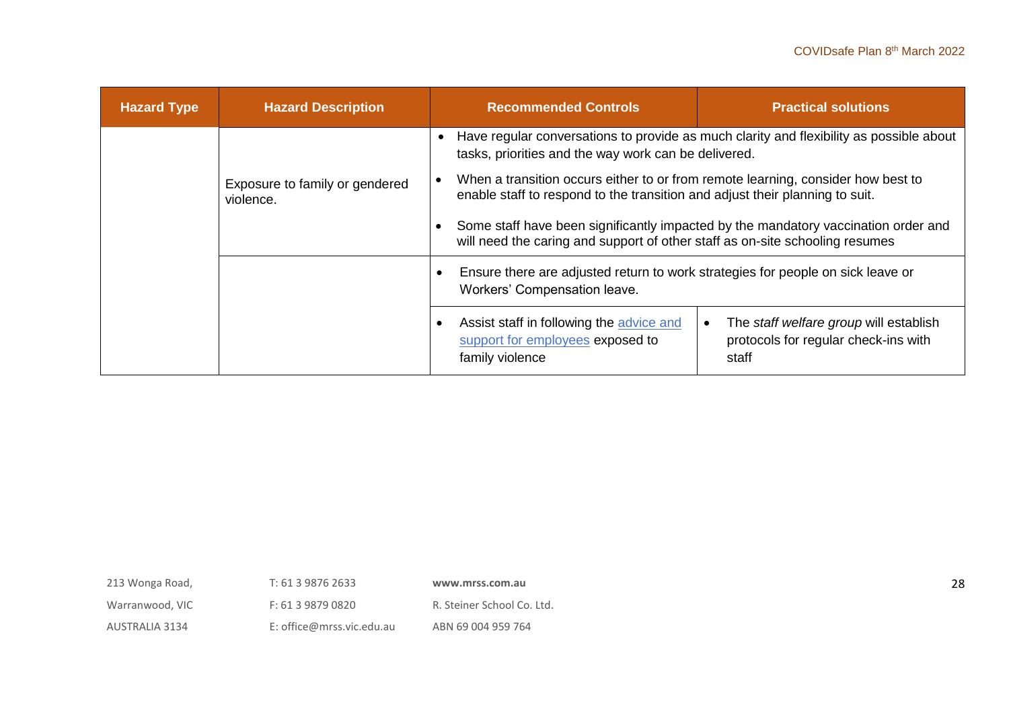| <b>Hazard Type</b> | <b>Hazard Description</b>                                                                                                                                                                                       | <b>Recommended Controls</b>                                                                                                                                        | <b>Practical solutions</b>                                                              |
|--------------------|-----------------------------------------------------------------------------------------------------------------------------------------------------------------------------------------------------------------|--------------------------------------------------------------------------------------------------------------------------------------------------------------------|-----------------------------------------------------------------------------------------|
|                    |                                                                                                                                                                                                                 | $\bullet$<br>tasks, priorities and the way work can be delivered.                                                                                                  | Have regular conversations to provide as much clarity and flexibility as possible about |
|                    | When a transition occurs either to or from remote learning, consider how best to<br>Exposure to family or gendered<br>enable staff to respond to the transition and adjust their planning to suit.<br>violence. |                                                                                                                                                                    |                                                                                         |
|                    |                                                                                                                                                                                                                 | Some staff have been significantly impacted by the mandatory vaccination order and<br>will need the caring and support of other staff as on-site schooling resumes |                                                                                         |
|                    |                                                                                                                                                                                                                 | Ensure there are adjusted return to work strategies for people on sick leave or<br>Workers' Compensation leave.                                                    |                                                                                         |
|                    |                                                                                                                                                                                                                 | Assist staff in following the advice and<br>support for employees exposed to<br>family violence                                                                    | The staff welfare group will establish<br>protocols for regular check-ins with<br>staff |

| 213 Wonga Road,       | T: 61 3 9876 2633         | www.mrss.com.au            |
|-----------------------|---------------------------|----------------------------|
| Warranwood, VIC       | F: 61 3 9879 0820         | R. Steiner School Co. Ltd. |
| <b>AUSTRALIA 3134</b> | E: office@mrss.vic.edu.au | ABN 69 004 959 764         |

28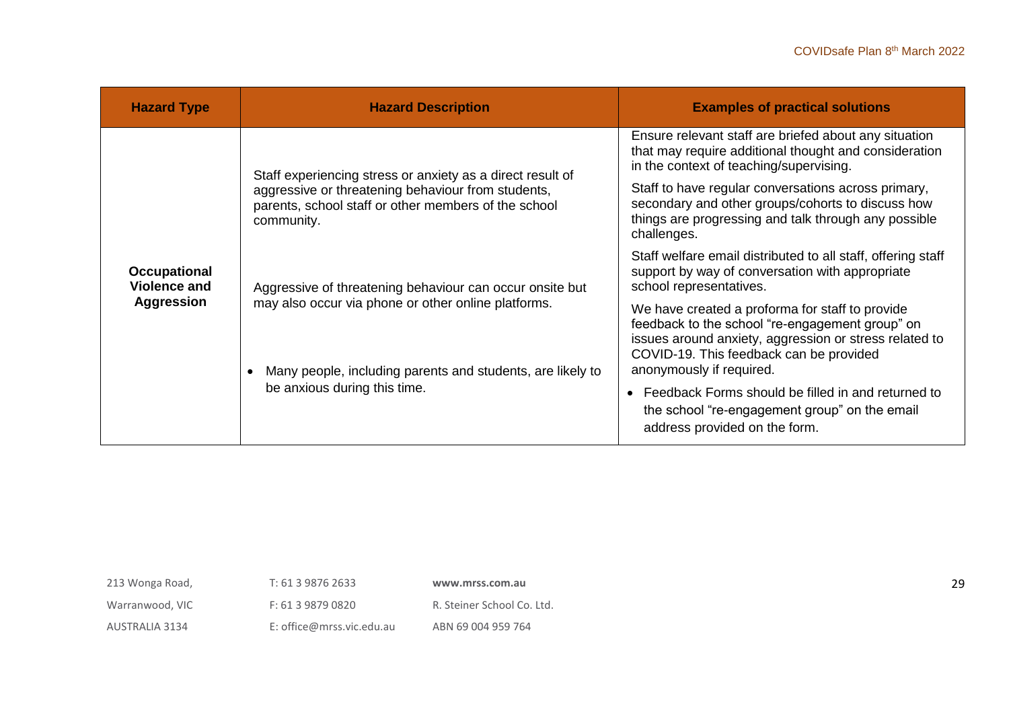| <b>Hazard Type</b>                                              | <b>Hazard Description</b>                                                                                                                                                                                     | <b>Examples of practical solutions</b>                                                                                                                                                                                                                                                                                                                                                                                                                                                   |
|-----------------------------------------------------------------|---------------------------------------------------------------------------------------------------------------------------------------------------------------------------------------------------------------|------------------------------------------------------------------------------------------------------------------------------------------------------------------------------------------------------------------------------------------------------------------------------------------------------------------------------------------------------------------------------------------------------------------------------------------------------------------------------------------|
|                                                                 | Staff experiencing stress or anxiety as a direct result of<br>aggressive or threatening behaviour from students,<br>parents, school staff or other members of the school<br>community.                        | Ensure relevant staff are briefed about any situation<br>that may require additional thought and consideration<br>in the context of teaching/supervising.<br>Staff to have regular conversations across primary,<br>secondary and other groups/cohorts to discuss how<br>things are progressing and talk through any possible<br>challenges.                                                                                                                                             |
| <b>Occupational</b><br><b>Violence and</b><br><b>Aggression</b> | Aggressive of threatening behaviour can occur onsite but<br>may also occur via phone or other online platforms.<br>Many people, including parents and students, are likely to<br>be anxious during this time. | Staff welfare email distributed to all staff, offering staff<br>support by way of conversation with appropriate<br>school representatives.<br>We have created a proforma for staff to provide<br>feedback to the school "re-engagement group" on<br>issues around anxiety, aggression or stress related to<br>COVID-19. This feedback can be provided<br>anonymously if required.<br>Feedback Forms should be filled in and returned to<br>the school "re-engagement group" on the email |

T: 61 3 9876 2633

# **www.mrss.com.au**

Warranwood, VIC

F: 61 3 9879 0820

R. Steiner School Co. Ltd.

AUSTRALIA 3134

E: office@mrss.vic.edu.au

ABN 69 004 959 764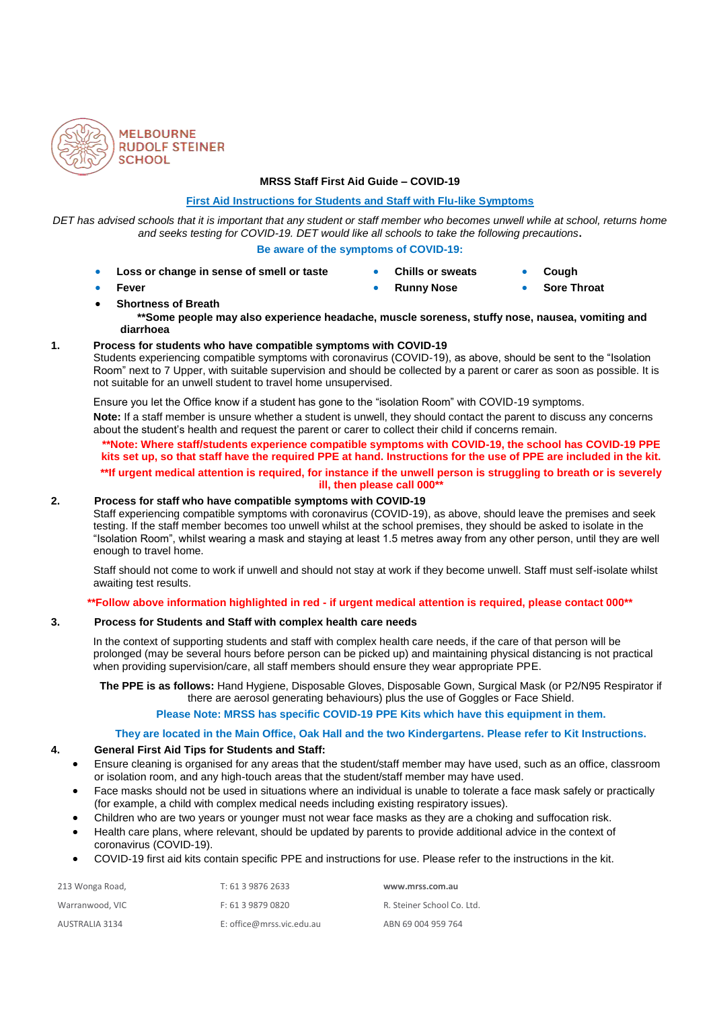

#### **MRSS Staff First Aid Guide – COVID-19**

#### **First Aid Instructions for Students and Staff with Flu-like Symptoms**

*DET has advised schools that it is important that any student or staff member who becomes unwell while at school, returns home and seeks testing for COVID-19. DET would like all schools to take the following precautions***.**

#### **Be aware of the symptoms of COVID-19:**

- **Loss or change in sense of smell or taste Chills or sweats Cough**
	-
- 
- **Fever Runny Nose Sore Throat**
- **Shortness of Breath \*\*Some people may also experience headache, muscle soreness, stuffy nose, nausea, vomiting and diarrhoea**

## **1. Process for students who have compatible symptoms with COVID-19**

Students experiencing compatible symptoms with coronavirus (COVID-19), as above, should be sent to the "Isolation Room" next to 7 Upper, with suitable supervision and should be collected by a parent or carer as soon as possible. It is not suitable for an unwell student to travel home unsupervised.

Ensure you let the Office know if a student has gone to the "isolation Room" with COVID-19 symptoms.

**Note:** If a staff member is unsure whether a student is unwell, they should contact the parent to discuss any concerns about the student's health and request the parent or carer to collect their child if concerns remain.

**\*\*Note: Where staff/students experience compatible symptoms with COVID-19, the school has COVID-19 PPE kits set up, so that staff have the required PPE at hand. Instructions for the use of PPE are included in the kit. \*\*If urgent medical attention is required, for instance if the unwell person is struggling to breath or is severely ill, then please call 000\*\***

#### **2. Process for staff who have compatible symptoms with COVID-19**

Staff experiencing compatible symptoms with coronavirus (COVID-19), as above, should leave the premises and seek testing. If the staff member becomes too unwell whilst at the school premises, they should be asked to isolate in the "Isolation Room", whilst wearing a mask and staying at least 1.5 metres away from any other person, until they are well enough to travel home.

Staff should not come to work if unwell and should not stay at work if they become unwell. Staff must self-isolate whilst awaiting test results.

#### **\*\*Follow above information highlighted in red - if urgent medical attention is required, please contact 000\*\***

### **3. Process for Students and Staff with complex health care needs**

In the context of supporting students and staff with complex health care needs, if the care of that person will be prolonged (may be several hours before person can be picked up) and maintaining physical distancing is not practical when providing supervision/care, all staff members should ensure they wear appropriate PPE.

**The PPE is as follows:** Hand Hygiene, Disposable Gloves, Disposable Gown, Surgical Mask (or P2/N95 Respirator if there are aerosol generating behaviours) plus the use of Goggles or Face Shield.

# **Please Note: MRSS has specific COVID-19 PPE Kits which have this equipment in them.**

#### **They are located in the Main Office, Oak Hall and the two Kindergartens. Please refer to Kit Instructions.**

#### **4. General First Aid Tips for Students and Staff:**

- Ensure cleaning is organised for any areas that the student/staff member may have used, such as an office, classroom or isolation room, and any high-touch areas that the student/staff member may have used.
- Face masks should not be used in situations where an individual is unable to tolerate a face mask safely or practically (for example, a child with complex medical needs including existing respiratory issues).
- Children who are two years or younger must not wear face masks as they are a choking and suffocation risk.
- Health care plans, where relevant, should be updated by parents to provide additional advice in the context of coronavirus (COVID-19).
- COVID-19 first aid kits contain specific PPE and instructions for use. Please refer to the instructions in the kit.

| 213 Wonga Road, | T: 61 3 9876 2633         | www.mrss.com.au            |
|-----------------|---------------------------|----------------------------|
| Warranwood, VIC | F: 61 3 9879 0820         | R. Steiner School Co. Ltd. |
| AUSTRALIA 3134  | E: office@mrss.vic.edu.au | ABN 69 004 959 764         |